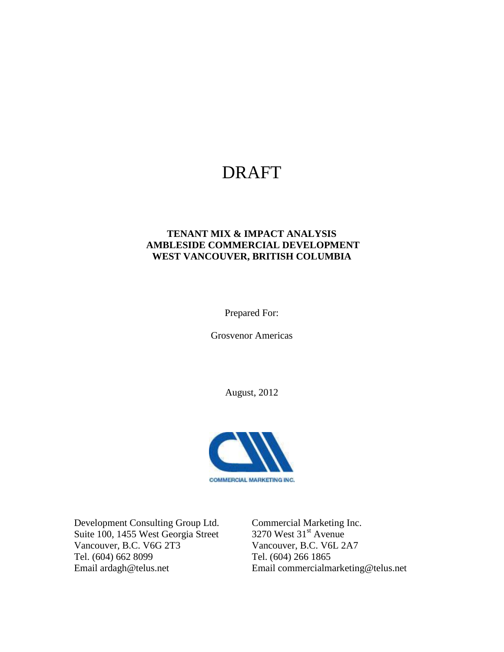# DRAFT

#### **TENANT MIX & IMPACT ANALYSIS AMBLESIDE COMMERCIAL DEVELOPMENT WEST VANCOUVER, BRITISH COLUMBIA**

Prepared For:

Grosvenor Americas

August, 2012



Development Consulting Group Ltd. Commercial Marketing Inc.<br>Suite 100, 1455 West Georgia Street 3270 West 31<sup>st</sup> Avenue Suite 100, 1455 West Georgia Street Vancouver, B.C. V6G 2T3 Vancouver, B.C. V6L 2A7 Tel. (604) 662 8099 Tel. (604) 266 1865

Email ardagh@telus.net Email commercialmarketing@telus.net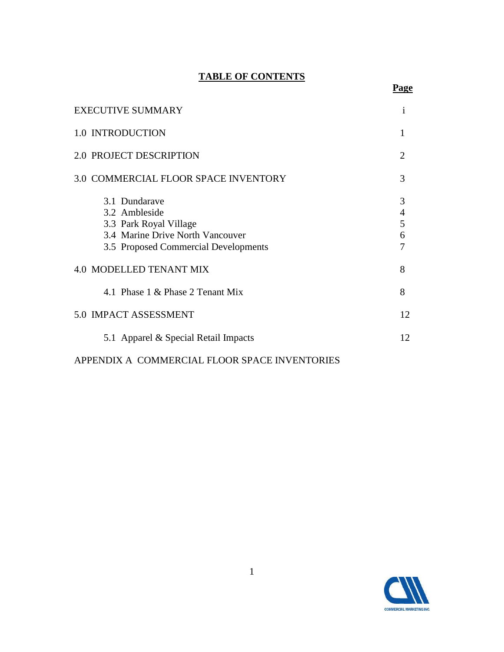#### **TABLE OF CONTENTS**

**Page**

| <b>EXECUTIVE SUMMARY</b>                                                                                                             | $\mathbf{1}$                |
|--------------------------------------------------------------------------------------------------------------------------------------|-----------------------------|
| 1.0 INTRODUCTION                                                                                                                     |                             |
| 2.0 PROJECT DESCRIPTION                                                                                                              | $\mathcal{D}_{\mathcal{L}}$ |
| 3.0 COMMERCIAL FLOOR SPACE INVENTORY                                                                                                 | 3                           |
| 3.1 Dundarave<br>3.2 Ambleside<br>3.3 Park Royal Village<br>3.4 Marine Drive North Vancouver<br>3.5 Proposed Commercial Developments | 3<br>4<br>5<br>6<br>7       |
| <b>4.0 MODELLED TENANT MIX</b>                                                                                                       | 8                           |
| 4.1 Phase 1 & Phase 2 Tenant Mix                                                                                                     | 8                           |
| 5.0 IMPACT ASSESSMENT                                                                                                                | 12                          |
| 5.1 Apparel & Special Retail Impacts                                                                                                 | 12                          |
| APPENDIX A COMMERCIAL FLOOR SPACE INVENTORIES                                                                                        |                             |

# **COMMERCIAL MARKETING INC.**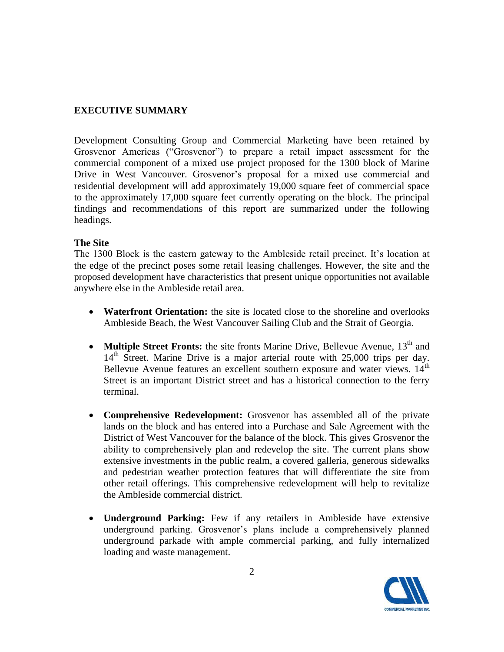#### **EXECUTIVE SUMMARY**

Development Consulting Group and Commercial Marketing have been retained by Grosvenor Americas ("Grosvenor") to prepare a retail impact assessment for the commercial component of a mixed use project proposed for the 1300 block of Marine Drive in West Vancouver. Grosvenor's proposal for a mixed use commercial and residential development will add approximately 19,000 square feet of commercial space to the approximately 17,000 square feet currently operating on the block. The principal findings and recommendations of this report are summarized under the following headings.

#### **The Site**

The 1300 Block is the eastern gateway to the Ambleside retail precinct. It's location at the edge of the precinct poses some retail leasing challenges. However, the site and the proposed development have characteristics that present unique opportunities not available anywhere else in the Ambleside retail area.

- **Waterfront Orientation:** the site is located close to the shoreline and overlooks Ambleside Beach, the West Vancouver Sailing Club and the Strait of Georgia.
- **Multiple Street Fronts:** the site fronts Marine Drive, Bellevue Avenue, 13<sup>th</sup> and  $14<sup>th</sup>$  Street. Marine Drive is a major arterial route with 25,000 trips per day. Bellevue Avenue features an excellent southern exposure and water views.  $14<sup>th</sup>$ Street is an important District street and has a historical connection to the ferry terminal.
- **Comprehensive Redevelopment:** Grosvenor has assembled all of the private lands on the block and has entered into a Purchase and Sale Agreement with the District of West Vancouver for the balance of the block. This gives Grosvenor the ability to comprehensively plan and redevelop the site. The current plans show extensive investments in the public realm, a covered galleria, generous sidewalks and pedestrian weather protection features that will differentiate the site from other retail offerings. This comprehensive redevelopment will help to revitalize the Ambleside commercial district.
- **Underground Parking:** Few if any retailers in Ambleside have extensive underground parking. Grosvenor's plans include a comprehensively planned underground parkade with ample commercial parking, and fully internalized loading and waste management.

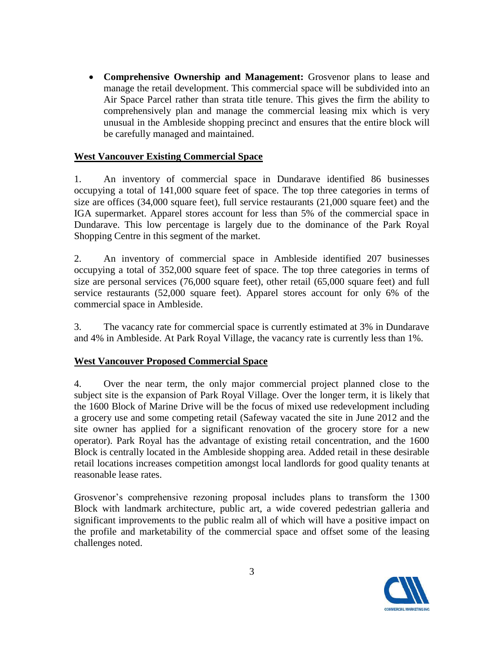**Comprehensive Ownership and Management:** Grosvenor plans to lease and manage the retail development. This commercial space will be subdivided into an Air Space Parcel rather than strata title tenure. This gives the firm the ability to comprehensively plan and manage the commercial leasing mix which is very unusual in the Ambleside shopping precinct and ensures that the entire block will be carefully managed and maintained.

#### **West Vancouver Existing Commercial Space**

1. An inventory of commercial space in Dundarave identified 86 businesses occupying a total of 141,000 square feet of space. The top three categories in terms of size are offices (34,000 square feet), full service restaurants (21,000 square feet) and the IGA supermarket. Apparel stores account for less than 5% of the commercial space in Dundarave. This low percentage is largely due to the dominance of the Park Royal Shopping Centre in this segment of the market.

2. An inventory of commercial space in Ambleside identified 207 businesses occupying a total of 352,000 square feet of space. The top three categories in terms of size are personal services (76,000 square feet), other retail (65,000 square feet) and full service restaurants (52,000 square feet). Apparel stores account for only 6% of the commercial space in Ambleside.

3. The vacancy rate for commercial space is currently estimated at 3% in Dundarave and 4% in Ambleside. At Park Royal Village, the vacancy rate is currently less than 1%.

#### **West Vancouver Proposed Commercial Space**

4. Over the near term, the only major commercial project planned close to the subject site is the expansion of Park Royal Village. Over the longer term, it is likely that the 1600 Block of Marine Drive will be the focus of mixed use redevelopment including a grocery use and some competing retail (Safeway vacated the site in June 2012 and the site owner has applied for a significant renovation of the grocery store for a new operator). Park Royal has the advantage of existing retail concentration, and the 1600 Block is centrally located in the Ambleside shopping area. Added retail in these desirable retail locations increases competition amongst local landlords for good quality tenants at reasonable lease rates.

Grosvenor's comprehensive rezoning proposal includes plans to transform the 1300 Block with landmark architecture, public art, a wide covered pedestrian galleria and significant improvements to the public realm all of which will have a positive impact on the profile and marketability of the commercial space and offset some of the leasing challenges noted.

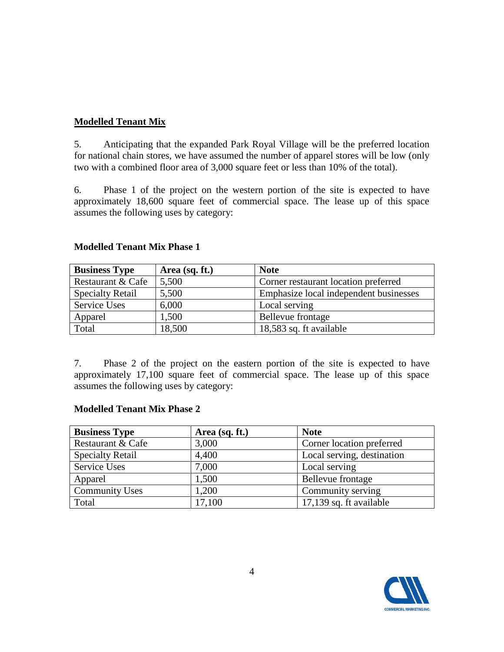#### **Modelled Tenant Mix**

5. Anticipating that the expanded Park Royal Village will be the preferred location for national chain stores, we have assumed the number of apparel stores will be low (only two with a combined floor area of 3,000 square feet or less than 10% of the total).

6. Phase 1 of the project on the western portion of the site is expected to have approximately 18,600 square feet of commercial space. The lease up of this space assumes the following uses by category:

| <b>Business Type</b>    | Area (sq. ft.) | <b>Note</b>                            |
|-------------------------|----------------|----------------------------------------|
| Restaurant & Cafe       | 5,500          | Corner restaurant location preferred   |
| <b>Specialty Retail</b> | 5,500          | Emphasize local independent businesses |
| Service Uses            | 6,000          | Local serving                          |
| Apparel                 | 1,500          | Bellevue frontage                      |
| Total                   | 18,500         | 18,583 sq. ft available                |

#### **Modelled Tenant Mix Phase 1**

7. Phase 2 of the project on the eastern portion of the site is expected to have approximately 17,100 square feet of commercial space. The lease up of this space assumes the following uses by category:

#### **Modelled Tenant Mix Phase 2**

| <b>Business Type</b>    | Area (sq. ft.) | <b>Note</b>                |
|-------------------------|----------------|----------------------------|
| Restaurant & Cafe       | 3,000          | Corner location preferred  |
| <b>Specialty Retail</b> | 4,400          | Local serving, destination |
| Service Uses            | 7,000          | Local serving              |
| Apparel                 | 1,500          | Bellevue frontage          |
| <b>Community Uses</b>   | 1,200          | Community serving          |
| Total                   | 17,100         | 17,139 sq. ft available    |

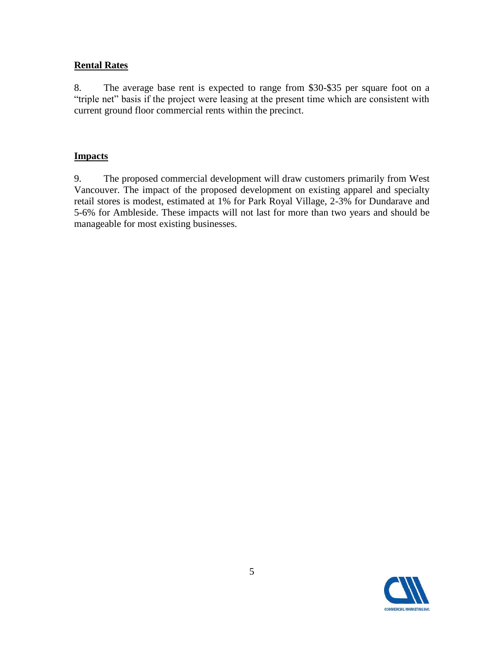#### **Rental Rates**

8. The average base rent is expected to range from \$30-\$35 per square foot on a "triple net" basis if the project were leasing at the present time which are consistent with current ground floor commercial rents within the precinct.

#### **Impacts**

9. The proposed commercial development will draw customers primarily from West Vancouver. The impact of the proposed development on existing apparel and specialty retail stores is modest, estimated at 1% for Park Royal Village, 2-3% for Dundarave and 5-6% for Ambleside. These impacts will not last for more than two years and should be manageable for most existing businesses.

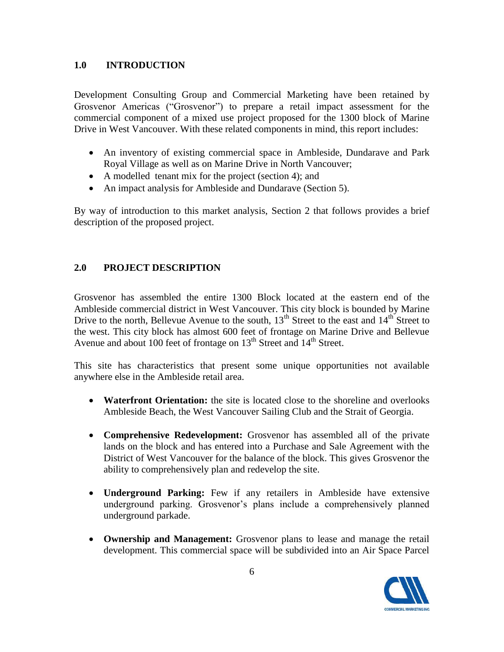#### **1.0 INTRODUCTION**

Development Consulting Group and Commercial Marketing have been retained by Grosvenor Americas ("Grosvenor") to prepare a retail impact assessment for the commercial component of a mixed use project proposed for the 1300 block of Marine Drive in West Vancouver. With these related components in mind, this report includes:

- An inventory of existing commercial space in Ambleside, Dundarave and Park Royal Village as well as on Marine Drive in North Vancouver;
- A modelled tenant mix for the project (section 4); and
- An impact analysis for Ambleside and Dundarave (Section 5).

By way of introduction to this market analysis, Section 2 that follows provides a brief description of the proposed project.

#### **2.0 PROJECT DESCRIPTION**

Grosvenor has assembled the entire 1300 Block located at the eastern end of the Ambleside commercial district in West Vancouver. This city block is bounded by Marine Drive to the north, Bellevue Avenue to the south,  $13<sup>th</sup>$  Street to the east and  $14<sup>th</sup>$  Street to the west. This city block has almost 600 feet of frontage on Marine Drive and Bellevue Avenue and about 100 feet of frontage on 13<sup>th</sup> Street and 14<sup>th</sup> Street.

This site has characteristics that present some unique opportunities not available anywhere else in the Ambleside retail area.

- **Waterfront Orientation:** the site is located close to the shoreline and overlooks Ambleside Beach, the West Vancouver Sailing Club and the Strait of Georgia.
- **Comprehensive Redevelopment:** Grosvenor has assembled all of the private lands on the block and has entered into a Purchase and Sale Agreement with the District of West Vancouver for the balance of the block. This gives Grosvenor the ability to comprehensively plan and redevelop the site.
- **Underground Parking:** Few if any retailers in Ambleside have extensive underground parking. Grosvenor's plans include a comprehensively planned underground parkade.
- **Ownership and Management:** Grosvenor plans to lease and manage the retail development. This commercial space will be subdivided into an Air Space Parcel

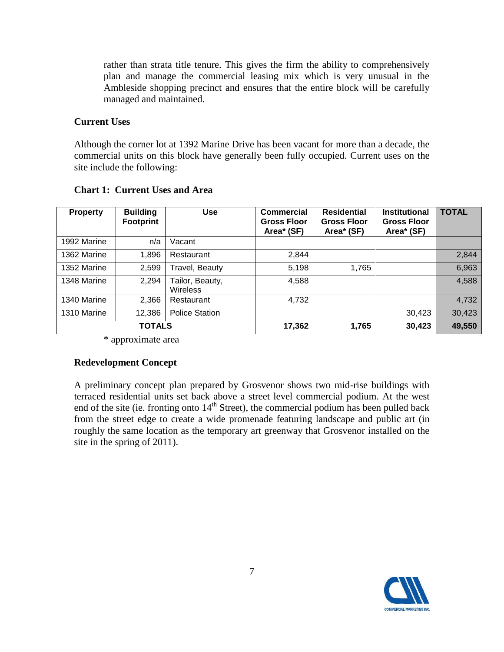rather than strata title tenure. This gives the firm the ability to comprehensively plan and manage the commercial leasing mix which is very unusual in the Ambleside shopping precinct and ensures that the entire block will be carefully managed and maintained.

#### **Current Uses**

Although the corner lot at 1392 Marine Drive has been vacant for more than a decade, the commercial units on this block have generally been fully occupied. Current uses on the site include the following:

| <b>Property</b> | <b>Building</b><br><b>Footprint</b> | <b>Use</b>                  | <b>Commercial</b><br><b>Gross Floor</b><br>Area* (SF) | <b>Residential</b><br><b>Gross Floor</b><br>Area* (SF) | <b>Institutional</b><br><b>Gross Floor</b><br>Area* (SF) | <b>TOTAL</b> |
|-----------------|-------------------------------------|-----------------------------|-------------------------------------------------------|--------------------------------------------------------|----------------------------------------------------------|--------------|
| 1992 Marine     | n/a                                 | Vacant                      |                                                       |                                                        |                                                          |              |
| 1362 Marine     | 1,896                               | Restaurant                  | 2,844                                                 |                                                        |                                                          | 2,844        |
| 1352 Marine     | 2,599                               | Travel, Beauty              | 5,198                                                 | 1,765                                                  |                                                          | 6,963        |
| 1348 Marine     | 2,294                               | Tailor, Beauty,<br>Wireless | 4,588                                                 |                                                        |                                                          | 4,588        |
| 1340 Marine     | 2,366                               | Restaurant                  | 4,732                                                 |                                                        |                                                          | 4,732        |
| 1310 Marine     | 12,386                              | <b>Police Station</b>       |                                                       |                                                        | 30,423                                                   | 30,423       |
| <b>TOTALS</b>   |                                     | 17,362                      | 1,765                                                 | 30,423                                                 | 49,550                                                   |              |

#### **Chart 1: Current Uses and Area**

\* approximate area

#### **Redevelopment Concept**

A preliminary concept plan prepared by Grosvenor shows two mid-rise buildings with terraced residential units set back above a street level commercial podium. At the west end of the site (ie. fronting onto  $14<sup>th</sup>$  Street), the commercial podium has been pulled back from the street edge to create a wide promenade featuring landscape and public art (in roughly the same location as the temporary art greenway that Grosvenor installed on the site in the spring of 2011).

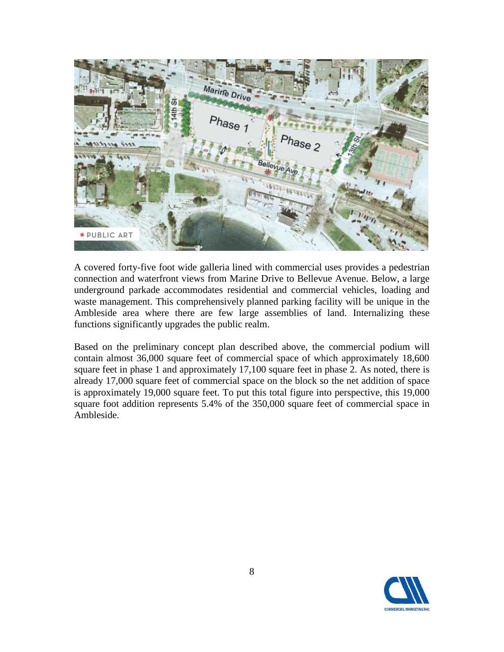

A covered forty-five foot wide galleria lined with commercial uses provides a pedestrian connection and waterfront views from Marine Drive to Bellevue Avenue. Below, a large underground parkade accommodates residential and commercial vehicles, loading and waste management. This comprehensively planned parking facility will be unique in the Ambleside area where there are few large assemblies of land. Internalizing these functions significantly upgrades the public realm.

Based on the preliminary concept plan described above, the commercial podium will contain almost 36,000 square feet of commercial space of which approximately 18,600 square feet in phase 1 and approximately 17,100 square feet in phase 2. As noted, there is already 17,000 square feet of commercial space on the block so the net addition of space is approximately 19,000 square feet. To put this total figure into perspective, this 19,000 square foot addition represents 5.4% of the 350,000 square feet of commercial space in Ambleside.

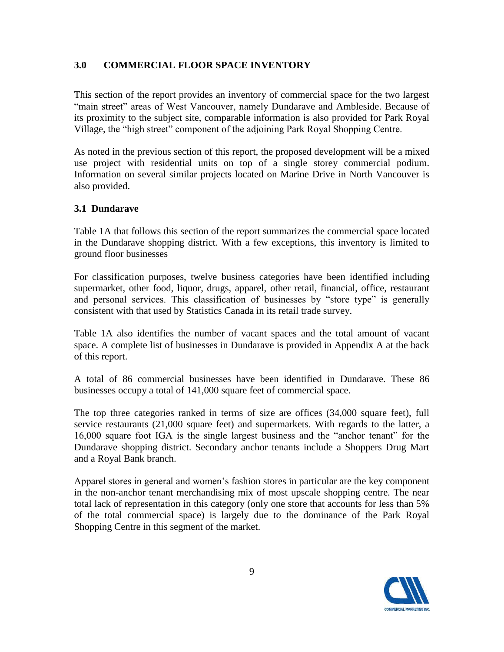#### **3.0 COMMERCIAL FLOOR SPACE INVENTORY**

This section of the report provides an inventory of commercial space for the two largest "main street" areas of West Vancouver, namely Dundarave and Ambleside. Because of its proximity to the subject site, comparable information is also provided for Park Royal Village, the "high street" component of the adjoining Park Royal Shopping Centre.

As noted in the previous section of this report, the proposed development will be a mixed use project with residential units on top of a single storey commercial podium. Information on several similar projects located on Marine Drive in North Vancouver is also provided.

#### **3.1 Dundarave**

Table 1A that follows this section of the report summarizes the commercial space located in the Dundarave shopping district. With a few exceptions, this inventory is limited to ground floor businesses

For classification purposes, twelve business categories have been identified including supermarket, other food, liquor, drugs, apparel, other retail, financial, office, restaurant and personal services. This classification of businesses by "store type" is generally consistent with that used by Statistics Canada in its retail trade survey.

Table 1A also identifies the number of vacant spaces and the total amount of vacant space. A complete list of businesses in Dundarave is provided in Appendix A at the back of this report.

A total of 86 commercial businesses have been identified in Dundarave. These 86 businesses occupy a total of 141,000 square feet of commercial space.

The top three categories ranked in terms of size are offices (34,000 square feet), full service restaurants (21,000 square feet) and supermarkets. With regards to the latter, a 16,000 square foot IGA is the single largest business and the "anchor tenant" for the Dundarave shopping district. Secondary anchor tenants include a Shoppers Drug Mart and a Royal Bank branch.

Apparel stores in general and women's fashion stores in particular are the key component in the non-anchor tenant merchandising mix of most upscale shopping centre. The near total lack of representation in this category (only one store that accounts for less than 5% of the total commercial space) is largely due to the dominance of the Park Royal Shopping Centre in this segment of the market.

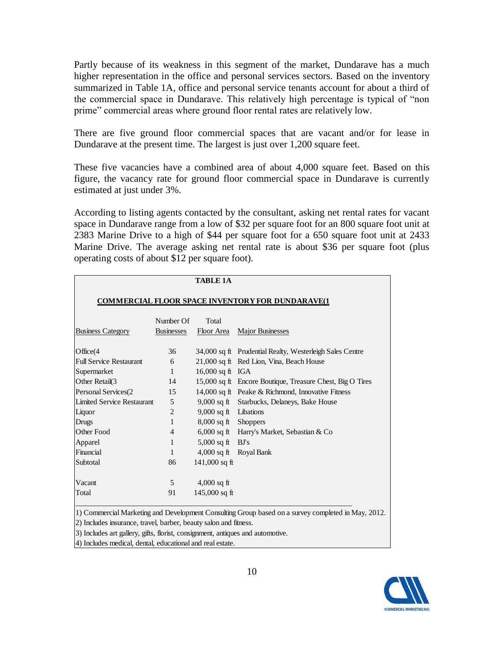Partly because of its weakness in this segment of the market, Dundarave has a much higher representation in the office and personal services sectors. Based on the inventory summarized in Table 1A, office and personal service tenants account for about a third of the commercial space in Dundarave. This relatively high percentage is typical of "non prime" commercial areas where ground floor rental rates are relatively low.

There are five ground floor commercial spaces that are vacant and/or for lease in Dundarave at the present time. The largest is just over 1,200 square feet.

These five vacancies have a combined area of about 4,000 square feet. Based on this figure, the vacancy rate for ground floor commercial space in Dundarave is currently estimated at just under 3%.

According to listing agents contacted by the consultant, asking net rental rates for vacant space in Dundarave range from a low of \$32 per square foot for an 800 square foot unit at 2383 Marine Drive to a high of \$44 per square foot for a 650 square foot unit at 2433 Marine Drive. The average asking net rental rate is about \$36 per square foot (plus operating costs of about \$12 per square foot).

|                                                                  |                   | <b>TABLE 1A</b>       |                                                                                                    |  |  |
|------------------------------------------------------------------|-------------------|-----------------------|----------------------------------------------------------------------------------------------------|--|--|
| <b>COMMERCIAL FLOOR SPACE INVENTORY FOR DUNDARAVE(1</b>          |                   |                       |                                                                                                    |  |  |
|                                                                  | Number Of         | Total                 |                                                                                                    |  |  |
| <b>Business Category</b>                                         | <b>Businesses</b> | Floor Area            | <b>Major Businesses</b>                                                                            |  |  |
| Office $(4)$                                                     | 36                |                       | 34,000 sq ft Prudential Realty, Westerleigh Sales Centre                                           |  |  |
| <b>Full Service Restaurant</b>                                   | 6                 |                       | 21,000 sq ft Red Lion, Vina, Beach House                                                           |  |  |
| Supermarket                                                      | $\mathbf{1}$      | 16,000 sq ft $IGA$    |                                                                                                    |  |  |
| Other Retail(3                                                   | 14                |                       | 15,000 sq ft Encore Boutique, Treasure Chest, Big O Tires                                          |  |  |
| Personal Services(2                                              | 15                |                       | 14,000 sq ft Peake & Richmond, Innovative Fitness                                                  |  |  |
| <b>Limited Service Restaurant</b>                                | 5                 |                       | 9,000 sq ft Starbucks, Delaneys, Bake House                                                        |  |  |
| Liquor                                                           | 2                 | 9,000 sq ft Libations |                                                                                                    |  |  |
| <b>Drugs</b>                                                     | 1                 | 8,000 sq ft Shoppers  |                                                                                                    |  |  |
| Other Food                                                       | $\overline{4}$    |                       | 6,000 sq ft Harry's Market, Sebastian & Co                                                         |  |  |
| Apparel                                                          | 1                 | $5,000$ sq ft         | BJ's                                                                                               |  |  |
| Financial                                                        | $\mathbf{1}$      | $4,000$ sq ft         | Royal Bank                                                                                         |  |  |
| Subtotal                                                         | 86                | 141,000 sq ft         |                                                                                                    |  |  |
| Vacant                                                           | 5                 | $4,000$ sq ft         |                                                                                                    |  |  |
| Total                                                            | 91                | 145,000 sq ft         |                                                                                                    |  |  |
| 2) Includes insurance, travel, barber, beauty salon and fitness. |                   |                       | 1) Commercial Marketing and Development Consulting Group based on a survey completed in May, 2012. |  |  |

3) Includes art gallery, gifts, florist, consignment, antiques and automotive.

4) Includes medical, dental, educational and real estate.

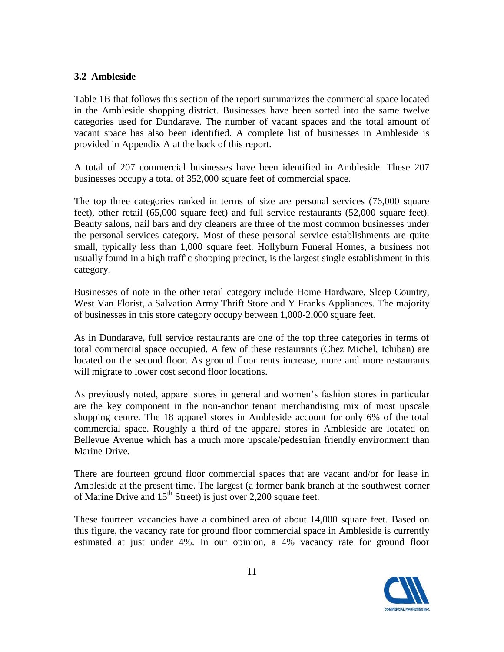#### **3.2 Ambleside**

Table 1B that follows this section of the report summarizes the commercial space located in the Ambleside shopping district. Businesses have been sorted into the same twelve categories used for Dundarave. The number of vacant spaces and the total amount of vacant space has also been identified. A complete list of businesses in Ambleside is provided in Appendix A at the back of this report.

A total of 207 commercial businesses have been identified in Ambleside. These 207 businesses occupy a total of 352,000 square feet of commercial space.

The top three categories ranked in terms of size are personal services (76,000 square feet), other retail (65,000 square feet) and full service restaurants (52,000 square feet). Beauty salons, nail bars and dry cleaners are three of the most common businesses under the personal services category. Most of these personal service establishments are quite small, typically less than 1,000 square feet. Hollyburn Funeral Homes, a business not usually found in a high traffic shopping precinct, is the largest single establishment in this category.

Businesses of note in the other retail category include Home Hardware, Sleep Country, West Van Florist, a Salvation Army Thrift Store and Y Franks Appliances. The majority of businesses in this store category occupy between 1,000-2,000 square feet.

As in Dundarave, full service restaurants are one of the top three categories in terms of total commercial space occupied. A few of these restaurants (Chez Michel, Ichiban) are located on the second floor. As ground floor rents increase, more and more restaurants will migrate to lower cost second floor locations.

As previously noted, apparel stores in general and women's fashion stores in particular are the key component in the non-anchor tenant merchandising mix of most upscale shopping centre. The 18 apparel stores in Ambleside account for only 6% of the total commercial space. Roughly a third of the apparel stores in Ambleside are located on Bellevue Avenue which has a much more upscale/pedestrian friendly environment than Marine Drive.

There are fourteen ground floor commercial spaces that are vacant and/or for lease in Ambleside at the present time. The largest (a former bank branch at the southwest corner of Marine Drive and  $15<sup>th</sup>$  Street) is just over 2,200 square feet.

These fourteen vacancies have a combined area of about 14,000 square feet. Based on this figure, the vacancy rate for ground floor commercial space in Ambleside is currently estimated at just under 4%. In our opinion, a 4% vacancy rate for ground floor

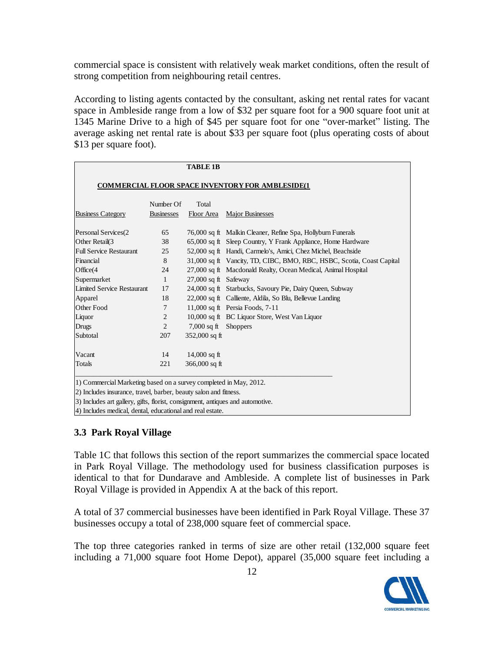commercial space is consistent with relatively weak market conditions, often the result of strong competition from neighbouring retail centres.

According to listing agents contacted by the consultant, asking net rental rates for vacant space in Ambleside range from a low of \$32 per square foot for a 900 square foot unit at 1345 Marine Drive to a high of \$45 per square foot for one "over-market" listing. The average asking net rental rate is about \$33 per square foot (plus operating costs of about \$13 per square foot).

|                                                                   |                                | <b>TABLE 1B</b>      |                                                                       |
|-------------------------------------------------------------------|--------------------------------|----------------------|-----------------------------------------------------------------------|
|                                                                   |                                |                      | <b>COMMERCIAL FLOOR SPACE INVENTORY FOR AMBLESIDE(1)</b>              |
| <b>Business Category</b>                                          | Number Of<br><b>Businesses</b> | Total<br>Floor Area  | Major Businesses                                                      |
|                                                                   |                                |                      |                                                                       |
| Personal Services(2                                               | 65                             |                      | 76,000 sq ft Malkin Cleaner, Refine Spa, Hollyburn Funerals           |
| Other Retail(3                                                    | 38                             |                      | 65,000 sq ft Sleep Country, Y Frank Appliance, Home Hardware          |
| <b>Full Service Restaurant</b>                                    | 25                             |                      | 52,000 sq ft Handi, Carmelo's, Amici, Chez Michel, Beachside          |
| Financial                                                         | 8                              |                      | 31,000 sq ft Vancity, TD, CIBC, BMO, RBC, HSBC, Scotia, Coast Capital |
| Office(4                                                          | 24                             |                      | 27,000 sq ft Macdonald Realty, Ocean Medical, Animal Hospital         |
| Supermarket                                                       | $\mathbf{1}$                   | 27,000 sq ft Safeway |                                                                       |
| <b>Limited Service Restaurant</b>                                 | 17                             |                      | 24,000 sq ft Starbucks, Savoury Pie, Dairy Queen, Subway              |
| Apparel                                                           | 18                             |                      | 22,000 sq ft Calliente, Aldila, So Blu, Bellevue Landing              |
| Other Food                                                        | 7                              |                      | 11,000 sq ft Persia Foods, 7-11                                       |
| Liquor                                                            | $\overline{2}$                 |                      | 10,000 sq ft BC Liquor Store, West Van Liquor                         |
| <b>Drugs</b>                                                      | $\overline{2}$                 | $7,000$ sq ft        | <b>Shoppers</b>                                                       |
| Subtotal                                                          | 207                            | 352,000 sq ft        |                                                                       |
| Vacant                                                            | 14                             | 14,000 sq ft         |                                                                       |
| Totals                                                            | 221                            | 366,000 sq ft        |                                                                       |
| 1) Commercial Marketing based on a survey completed in May, 2012. |                                |                      |                                                                       |

2) Includes insurance, travel, barber, beauty salon and fitness.

3) Includes art gallery, gifts, florist, consignment, antiques and automotive.

4) Includes medical, dental, educational and real estate.

#### **3.3 Park Royal Village**

Table 1C that follows this section of the report summarizes the commercial space located in Park Royal Village. The methodology used for business classification purposes is identical to that for Dundarave and Ambleside. A complete list of businesses in Park Royal Village is provided in Appendix A at the back of this report.

A total of 37 commercial businesses have been identified in Park Royal Village. These 37 businesses occupy a total of 238,000 square feet of commercial space.

The top three categories ranked in terms of size are other retail (132,000 square feet including a 71,000 square foot Home Depot), apparel (35,000 square feet including a

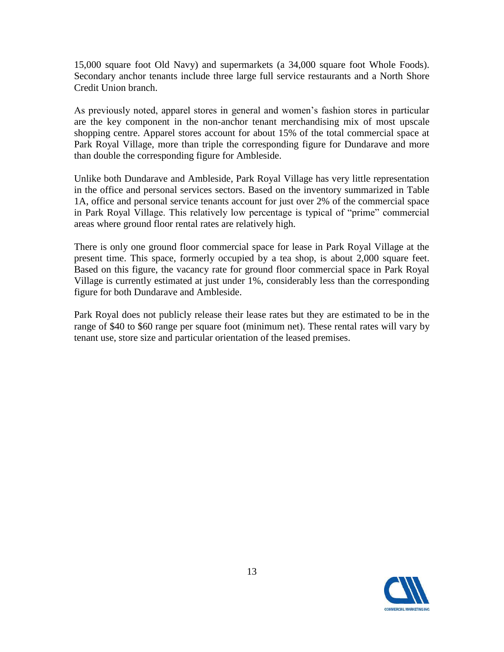15,000 square foot Old Navy) and supermarkets (a 34,000 square foot Whole Foods). Secondary anchor tenants include three large full service restaurants and a North Shore Credit Union branch.

As previously noted, apparel stores in general and women's fashion stores in particular are the key component in the non-anchor tenant merchandising mix of most upscale shopping centre. Apparel stores account for about 15% of the total commercial space at Park Royal Village, more than triple the corresponding figure for Dundarave and more than double the corresponding figure for Ambleside.

Unlike both Dundarave and Ambleside, Park Royal Village has very little representation in the office and personal services sectors. Based on the inventory summarized in Table 1A, office and personal service tenants account for just over 2% of the commercial space in Park Royal Village. This relatively low percentage is typical of "prime" commercial areas where ground floor rental rates are relatively high.

There is only one ground floor commercial space for lease in Park Royal Village at the present time. This space, formerly occupied by a tea shop, is about 2,000 square feet. Based on this figure, the vacancy rate for ground floor commercial space in Park Royal Village is currently estimated at just under 1%, considerably less than the corresponding figure for both Dundarave and Ambleside.

Park Royal does not publicly release their lease rates but they are estimated to be in the range of \$40 to \$60 range per square foot (minimum net). These rental rates will vary by tenant use, store size and particular orientation of the leased premises.

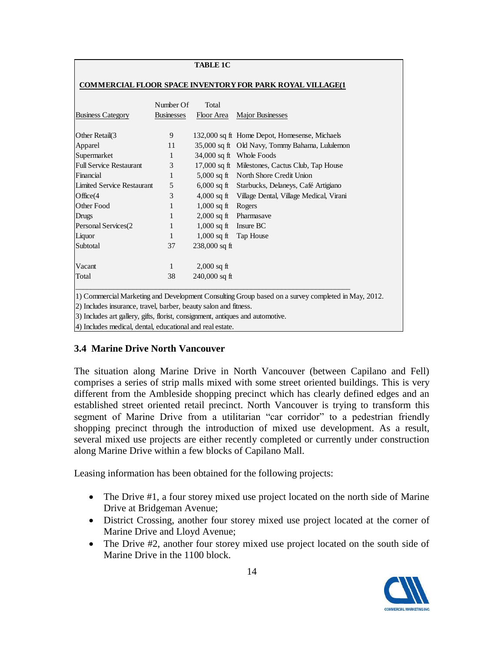#### **TABLE 1C**

#### **COMMERCIAL FLOOR SPACE INVENTORY FOR PARK ROYAL VILLAGE(1**

|                                                                                | Number Of         | Total           |                                                                                                    |  |  |  |
|--------------------------------------------------------------------------------|-------------------|-----------------|----------------------------------------------------------------------------------------------------|--|--|--|
| <b>Business Category</b>                                                       | <b>Businesses</b> | Floor Area      | <b>Major Businesses</b>                                                                            |  |  |  |
|                                                                                |                   |                 |                                                                                                    |  |  |  |
| Other Retail(3                                                                 | 9                 |                 | 132,000 sq ft Home Depot, Homesense, Michaels                                                      |  |  |  |
| Apparel                                                                        | 11                |                 | 35,000 sq ft Old Navy, Tommy Bahama, Lululemon                                                     |  |  |  |
| Supermarket                                                                    | 1                 |                 | 34,000 sq ft Whole Foods                                                                           |  |  |  |
| <b>Full Service Restaurant</b>                                                 | 3                 |                 | 17,000 sq ft Milestones, Cactus Club, Tap House                                                    |  |  |  |
| Financial                                                                      | 1                 | $5,000$ sq ft   | North Shore Credit Union                                                                           |  |  |  |
| <b>Limited Service Restaurant</b>                                              | 5                 | $6,000$ sq ft   | Starbucks, Delaneys, Café Artigiano                                                                |  |  |  |
| Office $(4)$                                                                   | 3                 | $4,000$ sq ft   | Village Dental, Village Medical, Virani                                                            |  |  |  |
| Other Food                                                                     | 1                 | $1,000$ sq ft   | Rogers                                                                                             |  |  |  |
| <b>Drugs</b>                                                                   | 1                 | $2,000$ sq ft   | Pharmasaye                                                                                         |  |  |  |
| Personal Services(2                                                            | 1                 | $1,000$ sq ft   | Insure BC                                                                                          |  |  |  |
| Liquor                                                                         | 1                 | $1,000$ sq ft   | Tap House                                                                                          |  |  |  |
| Subtotal                                                                       | 37                | $238,000$ sq ft |                                                                                                    |  |  |  |
| Vacant                                                                         | 1                 | $2,000$ sq ft   |                                                                                                    |  |  |  |
| Total                                                                          | 38                | $240,000$ sq ft |                                                                                                    |  |  |  |
|                                                                                |                   |                 | 1) Commercial Marketing and Development Consulting Group based on a survey completed in May, 2012. |  |  |  |
| 2) Includes insurance, travel, barber, beauty salon and fitness.               |                   |                 |                                                                                                    |  |  |  |
| 3) Includes art gallery, gifts, florist, consignment, antiques and automotive. |                   |                 |                                                                                                    |  |  |  |
| 4) Includes medical, dental, educational and real estate.                      |                   |                 |                                                                                                    |  |  |  |

#### **3.4 Marine Drive North Vancouver**

The situation along Marine Drive in North Vancouver (between Capilano and Fell) comprises a series of strip malls mixed with some street oriented buildings. This is very different from the Ambleside shopping precinct which has clearly defined edges and an established street oriented retail precinct. North Vancouver is trying to transform this segment of Marine Drive from a utilitarian "car corridor" to a pedestrian friendly shopping precinct through the introduction of mixed use development. As a result, several mixed use projects are either recently completed or currently under construction along Marine Drive within a few blocks of Capilano Mall.

Leasing information has been obtained for the following projects:

- The Drive #1, a four storey mixed use project located on the north side of Marine Drive at Bridgeman Avenue;
- District Crossing, another four storey mixed use project located at the corner of Marine Drive and Lloyd Avenue;
- The Drive #2, another four storey mixed use project located on the south side of Marine Drive in the 1100 block.

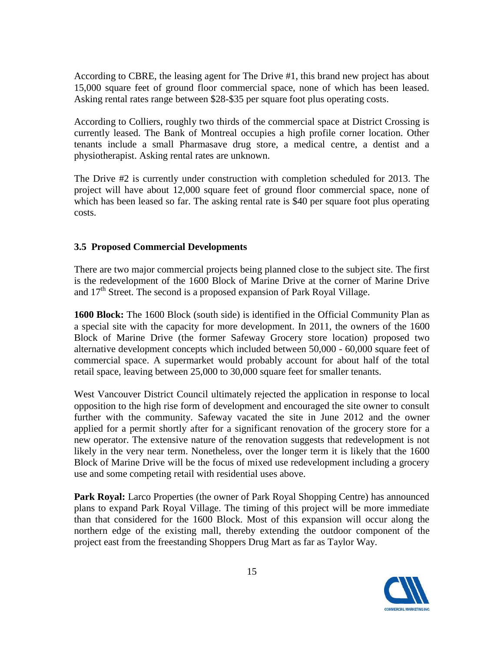According to CBRE, the leasing agent for The Drive #1, this brand new project has about 15,000 square feet of ground floor commercial space, none of which has been leased. Asking rental rates range between \$28-\$35 per square foot plus operating costs.

According to Colliers, roughly two thirds of the commercial space at District Crossing is currently leased. The Bank of Montreal occupies a high profile corner location. Other tenants include a small Pharmasave drug store, a medical centre, a dentist and a physiotherapist. Asking rental rates are unknown.

The Drive #2 is currently under construction with completion scheduled for 2013. The project will have about 12,000 square feet of ground floor commercial space, none of which has been leased so far. The asking rental rate is \$40 per square foot plus operating costs.

#### **3.5 Proposed Commercial Developments**

There are two major commercial projects being planned close to the subject site. The first is the redevelopment of the 1600 Block of Marine Drive at the corner of Marine Drive and  $17<sup>th</sup>$  Street. The second is a proposed expansion of Park Royal Village.

**1600 Block:** The 1600 Block (south side) is identified in the Official Community Plan as a special site with the capacity for more development. In 2011, the owners of the 1600 Block of Marine Drive (the former Safeway Grocery store location) proposed two alternative development concepts which included between 50,000 - 60,000 square feet of commercial space. A supermarket would probably account for about half of the total retail space, leaving between 25,000 to 30,000 square feet for smaller tenants.

West Vancouver District Council ultimately rejected the application in response to local opposition to the high rise form of development and encouraged the site owner to consult further with the community. Safeway vacated the site in June 2012 and the owner applied for a permit shortly after for a significant renovation of the grocery store for a new operator. The extensive nature of the renovation suggests that redevelopment is not likely in the very near term. Nonetheless, over the longer term it is likely that the 1600 Block of Marine Drive will be the focus of mixed use redevelopment including a grocery use and some competing retail with residential uses above.

**Park Royal:** Larco Properties (the owner of Park Royal Shopping Centre) has announced plans to expand Park Royal Village. The timing of this project will be more immediate than that considered for the 1600 Block. Most of this expansion will occur along the northern edge of the existing mall, thereby extending the outdoor component of the project east from the freestanding Shoppers Drug Mart as far as Taylor Way.

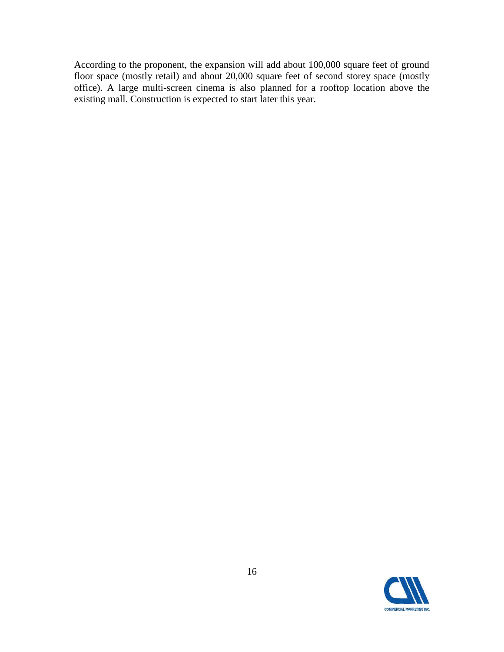According to the proponent, the expansion will add about 100,000 square feet of ground floor space (mostly retail) and about 20,000 square feet of second storey space (mostly office). A large multi-screen cinema is also planned for a rooftop location above the existing mall. Construction is expected to start later this year.

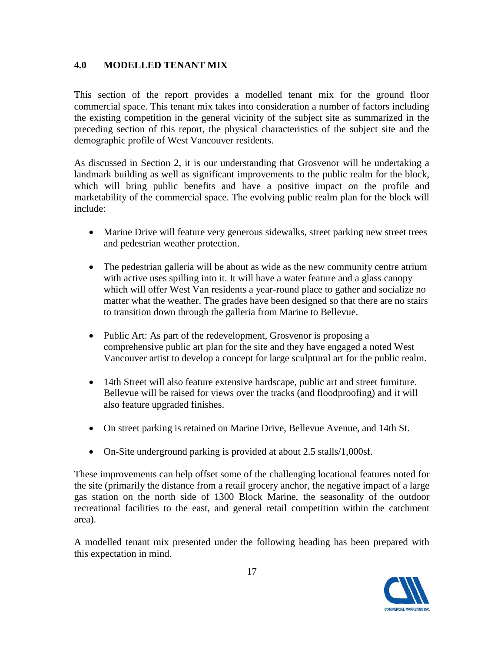#### **4.0 MODELLED TENANT MIX**

This section of the report provides a modelled tenant mix for the ground floor commercial space. This tenant mix takes into consideration a number of factors including the existing competition in the general vicinity of the subject site as summarized in the preceding section of this report, the physical characteristics of the subject site and the demographic profile of West Vancouver residents.

As discussed in Section 2, it is our understanding that Grosvenor will be undertaking a landmark building as well as significant improvements to the public realm for the block, which will bring public benefits and have a positive impact on the profile and marketability of the commercial space. The evolving public realm plan for the block will include:

- Marine Drive will feature very generous sidewalks, street parking new street trees and pedestrian weather protection.
- The pedestrian galleria will be about as wide as the new community centre atrium with active uses spilling into it. It will have a water feature and a glass canopy which will offer West Van residents a year-round place to gather and socialize no matter what the weather. The grades have been designed so that there are no stairs to transition down through the galleria from Marine to Bellevue.
- Public Art: As part of the redevelopment, Grosvenor is proposing a comprehensive public art plan for the site and they have engaged a noted West Vancouver artist to develop a concept for large sculptural art for the public realm.
- 14th Street will also feature extensive hardscape, public art and street furniture. Bellevue will be raised for views over the tracks (and floodproofing) and it will also feature upgraded finishes.
- On street parking is retained on Marine Drive, Bellevue Avenue, and 14th St.
- On-Site underground parking is provided at about 2.5 stalls/1,000sf.

These improvements can help offset some of the challenging locational features noted for the site (primarily the distance from a retail grocery anchor, the negative impact of a large gas station on the north side of 1300 Block Marine, the seasonality of the outdoor recreational facilities to the east, and general retail competition within the catchment area).

A modelled tenant mix presented under the following heading has been prepared with this expectation in mind.

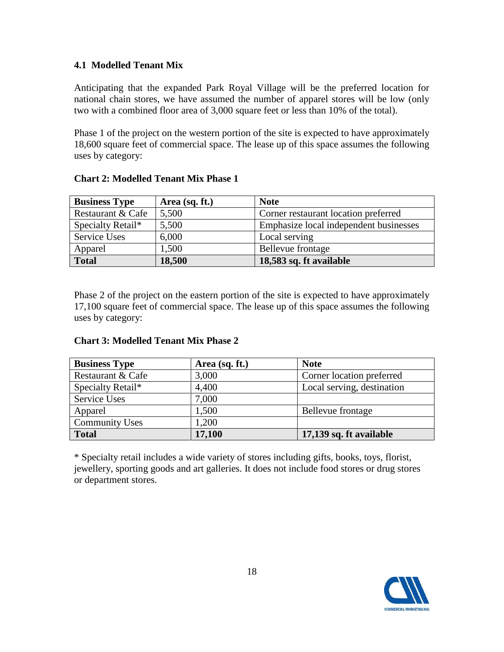#### **4.1 Modelled Tenant Mix**

Anticipating that the expanded Park Royal Village will be the preferred location for national chain stores, we have assumed the number of apparel stores will be low (only two with a combined floor area of 3,000 square feet or less than 10% of the total).

Phase 1 of the project on the western portion of the site is expected to have approximately 18,600 square feet of commercial space. The lease up of this space assumes the following uses by category:

| <b>Business Type</b> | Area (sq. ft.) | <b>Note</b>                            |
|----------------------|----------------|----------------------------------------|
| Restaurant & Cafe    | 5,500          | Corner restaurant location preferred   |
| Specialty Retail*    | 5,500          | Emphasize local independent businesses |
| Service Uses         | 6,000          | Local serving                          |
| Apparel              | 1,500          | Bellevue frontage                      |
| <b>Total</b>         | 18,500         | 18,583 sq. ft available                |

**Chart 2: Modelled Tenant Mix Phase 1**

Phase 2 of the project on the eastern portion of the site is expected to have approximately 17,100 square feet of commercial space. The lease up of this space assumes the following uses by category:

|  |  | <b>Chart 3: Modelled Tenant Mix Phase 2</b> |  |
|--|--|---------------------------------------------|--|
|--|--|---------------------------------------------|--|

| <b>Business Type</b>  | Area (sq. ft.) | <b>Note</b>                |
|-----------------------|----------------|----------------------------|
| Restaurant & Cafe     | 3,000          | Corner location preferred  |
| Specialty Retail*     | 4,400          | Local serving, destination |
| Service Uses          | 7,000          |                            |
| Apparel               | 1,500          | Bellevue frontage          |
| <b>Community Uses</b> | ,200           |                            |
| <b>Total</b>          | 17,100         | 17,139 sq. ft available    |

\* Specialty retail includes a wide variety of stores including gifts, books, toys, florist, jewellery, sporting goods and art galleries. It does not include food stores or drug stores or department stores.

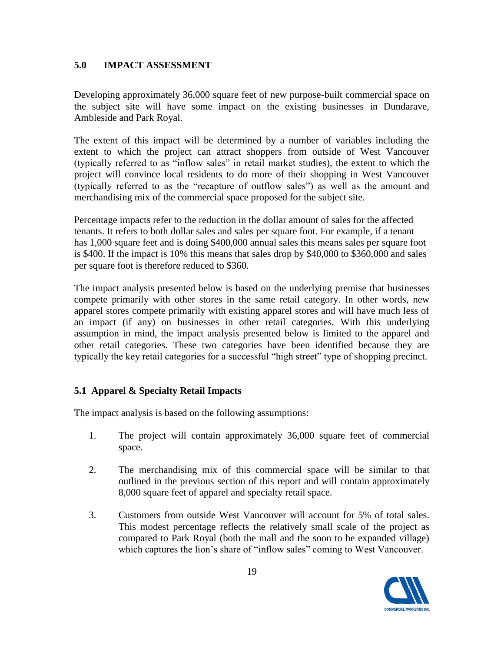#### **5.0 IMPACT ASSESSMENT**

Developing approximately 36,000 square feet of new purpose-built commercial space on the subject site will have some impact on the existing businesses in Dundarave, Ambleside and Park Royal.

The extent of this impact will be determined by a number of variables including the extent to which the project can attract shoppers from outside of West Vancouver (typically referred to as "inflow sales" in retail market studies), the extent to which the project will convince local residents to do more of their shopping in West Vancouver (typically referred to as the "recapture of outflow sales") as well as the amount and merchandising mix of the commercial space proposed for the subject site.

Percentage impacts refer to the reduction in the dollar amount of sales for the affected tenants. It refers to both dollar sales and sales per square foot. For example, if a tenant has 1,000 square feet and is doing \$400,000 annual sales this means sales per square foot is \$400. If the impact is 10% this means that sales drop by \$40,000 to \$360,000 and sales per square foot is therefore reduced to \$360.

The impact analysis presented below is based on the underlying premise that businesses compete primarily with other stores in the same retail category. In other words, new apparel stores compete primarily with existing apparel stores and will have much less of an impact (if any) on businesses in other retail categories. With this underlying assumption in mind, the impact analysis presented below is limited to the apparel and other retail categories. These two categories have been identified because they are typically the key retail categories for a successful "high street" type of shopping precinct.

#### **5.1 Apparel & Specialty Retail Impacts**

The impact analysis is based on the following assumptions:

- 1. The project will contain approximately 36,000 square feet of commercial space.
- 2. The merchandising mix of this commercial space will be similar to that outlined in the previous section of this report and will contain approximately 8,000 square feet of apparel and specialty retail space.
- 3. Customers from outside West Vancouver will account for 5% of total sales. This modest percentage reflects the relatively small scale of the project as compared to Park Royal (both the mall and the soon to be expanded village) which captures the lion's share of "inflow sales" coming to West Vancouver.

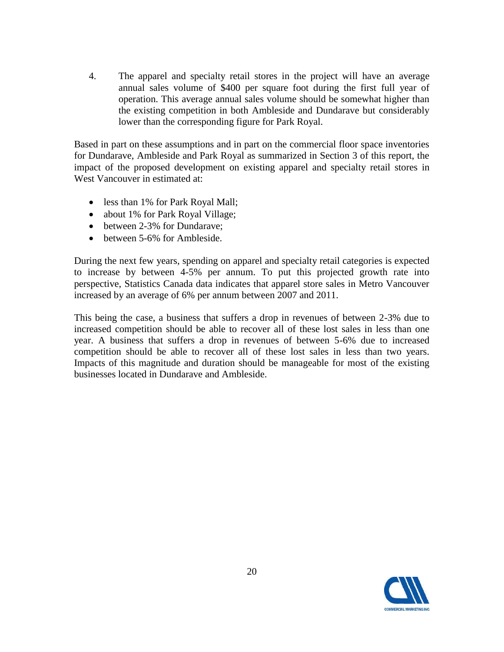4. The apparel and specialty retail stores in the project will have an average annual sales volume of \$400 per square foot during the first full year of operation. This average annual sales volume should be somewhat higher than the existing competition in both Ambleside and Dundarave but considerably lower than the corresponding figure for Park Royal.

Based in part on these assumptions and in part on the commercial floor space inventories for Dundarave, Ambleside and Park Royal as summarized in Section 3 of this report, the impact of the proposed development on existing apparel and specialty retail stores in West Vancouver in estimated at:

- less than 1% for Park Royal Mall;
- about 1% for Park Royal Village;
- between 2-3% for Dundarave;
- between 5-6% for Ambleside.

During the next few years, spending on apparel and specialty retail categories is expected to increase by between 4-5% per annum. To put this projected growth rate into perspective, Statistics Canada data indicates that apparel store sales in Metro Vancouver increased by an average of 6% per annum between 2007 and 2011.

This being the case, a business that suffers a drop in revenues of between 2-3% due to increased competition should be able to recover all of these lost sales in less than one year. A business that suffers a drop in revenues of between 5-6% due to increased competition should be able to recover all of these lost sales in less than two years. Impacts of this magnitude and duration should be manageable for most of the existing businesses located in Dundarave and Ambleside.

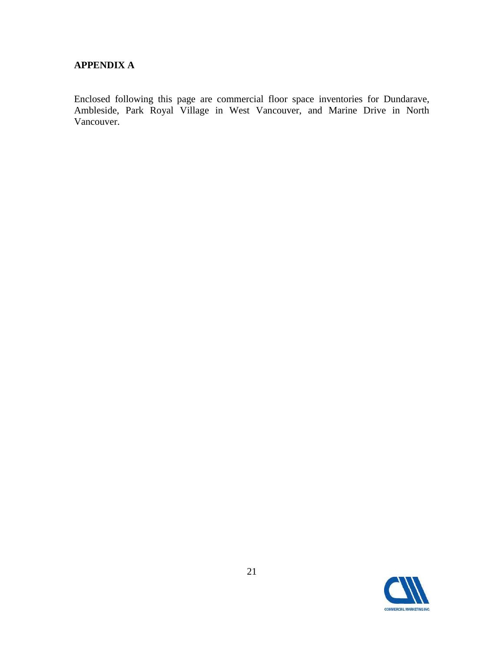#### **APPENDIX A**

Enclosed following this page are commercial floor space inventories for Dundarave, Ambleside, Park Royal Village in West Vancouver, and Marine Drive in North Vancouver.

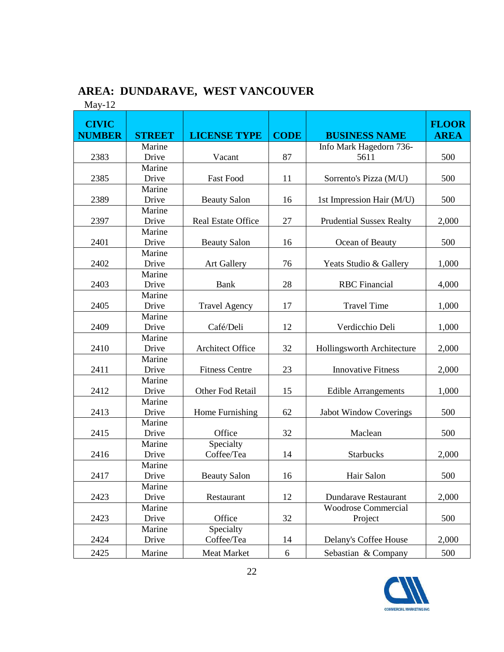## **AREA: DUNDARAVE, WEST VANCOUVER**

May-12

| <b>CIVIC</b><br><b>NUMBER</b> | <b>STREET</b> | <b>LICENSE TYPE</b>       | <b>CODE</b> | <b>BUSINESS NAME</b>            | <b>FLOOR</b><br><b>AREA</b> |
|-------------------------------|---------------|---------------------------|-------------|---------------------------------|-----------------------------|
|                               |               |                           |             |                                 |                             |
| 2383                          | Marine        | Vacant                    | 87          | Info Mark Hagedorn 736-         |                             |
|                               | Drive         |                           |             | 5611                            | 500                         |
|                               | Marine        |                           |             |                                 |                             |
| 2385                          | Drive         | <b>Fast Food</b>          | 11          | Sorrento's Pizza (M/U)          | 500                         |
|                               | Marine        |                           |             |                                 |                             |
| 2389                          | Drive         | <b>Beauty Salon</b>       | 16          | 1st Impression Hair (M/U)       | 500                         |
|                               | Marine        |                           |             |                                 |                             |
| 2397                          | Drive         | <b>Real Estate Office</b> | 27          | <b>Prudential Sussex Realty</b> | 2,000                       |
|                               | Marine        |                           |             |                                 |                             |
| 2401                          | Drive         | <b>Beauty Salon</b>       | 16          | Ocean of Beauty                 | 500                         |
|                               | Marine        |                           |             |                                 |                             |
| 2402                          | Drive         | <b>Art Gallery</b>        | 76          | Yeats Studio & Gallery          | 1,000                       |
|                               | Marine        |                           |             |                                 |                             |
| 2403                          | Drive         | Bank                      | 28          | <b>RBC</b> Financial            | 4,000                       |
|                               | Marine        |                           |             |                                 |                             |
| 2405                          | Drive         | <b>Travel Agency</b>      | 17          | <b>Travel Time</b>              | 1,000                       |
|                               | Marine        |                           |             |                                 |                             |
| 2409                          | Drive         | Café/Deli                 | 12          | Verdicchio Deli                 | 1,000                       |
|                               | Marine        |                           |             |                                 |                             |
| 2410                          | Drive         | <b>Architect Office</b>   | 32          | Hollingsworth Architecture      | 2,000                       |
|                               | Marine        |                           |             |                                 |                             |
| 2411                          | Drive         | <b>Fitness Centre</b>     | 23          | <b>Innovative Fitness</b>       | 2,000                       |
|                               | Marine        |                           |             |                                 |                             |
| 2412                          | Drive         | Other Fod Retail          | 15          | <b>Edible Arrangements</b>      | 1,000                       |
|                               | Marine        |                           |             |                                 |                             |
| 2413                          | Drive         | Home Furnishing           | 62          | <b>Jabot Window Coverings</b>   | 500                         |
|                               | Marine        |                           |             |                                 |                             |
| 2415                          | Drive         | Office                    | 32          | Maclean                         | 500                         |
|                               | Marine        | Specialty                 |             |                                 |                             |
| 2416                          | Drive         | Coffee/Tea                | 14          | Starbucks                       | 2,000                       |
|                               | Marine        |                           |             |                                 |                             |
| 2417                          | Drive         | <b>Beauty Salon</b>       | 16          | Hair Salon                      | 500                         |
|                               | Marine        |                           |             |                                 |                             |
| 2423                          | Drive         | Restaurant                | 12          | <b>Dundarave Restaurant</b>     | 2,000                       |
|                               | Marine        |                           |             | <b>Woodrose Commercial</b>      |                             |
| 2423                          | Drive         | Office                    | 32          | Project                         | 500                         |
|                               | Marine        | Specialty                 |             |                                 |                             |
| 2424                          | Drive         | Coffee/Tea                | 14          | Delany's Coffee House           | 2,000                       |
| 2425                          | Marine        | Meat Market               | $\sqrt{6}$  | Sebastian & Company             | 500                         |

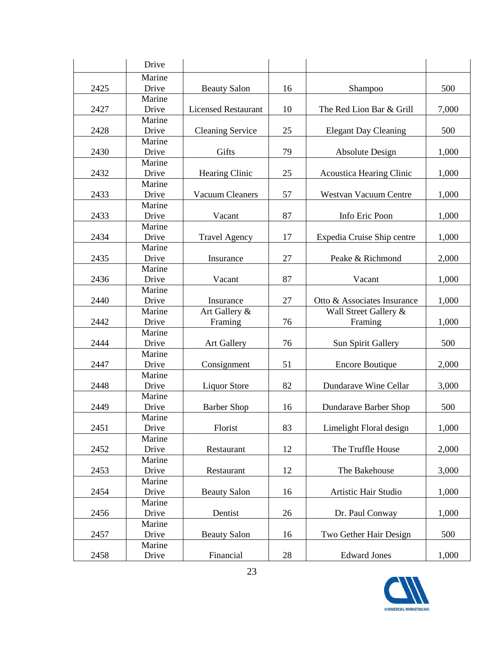|      | Drive           |                            |    |                                 |       |
|------|-----------------|----------------------------|----|---------------------------------|-------|
|      | Marine          |                            |    |                                 |       |
| 2425 | Drive           | <b>Beauty Salon</b>        | 16 | Shampoo                         | 500   |
|      | Marine          |                            |    |                                 |       |
| 2427 | Drive           | <b>Licensed Restaurant</b> | 10 | The Red Lion Bar & Grill        | 7,000 |
|      | Marine          |                            |    |                                 |       |
| 2428 | Drive           | <b>Cleaning Service</b>    | 25 | <b>Elegant Day Cleaning</b>     | 500   |
|      | Marine          |                            |    |                                 |       |
| 2430 | Drive           | Gifts                      | 79 | <b>Absolute Design</b>          | 1,000 |
|      | Marine          |                            |    |                                 |       |
| 2432 | Drive           | Hearing Clinic             | 25 | <b>Acoustica Hearing Clinic</b> | 1,000 |
|      | Marine          |                            |    |                                 |       |
| 2433 | Drive           | <b>Vacuum Cleaners</b>     | 57 | <b>Westvan Vacuum Centre</b>    | 1,000 |
|      | Marine          |                            |    |                                 |       |
| 2433 | Drive           | Vacant                     | 87 | Info Eric Poon                  | 1,000 |
|      | Marine          |                            |    |                                 |       |
| 2434 | Drive           | <b>Travel Agency</b>       | 17 | Expedia Cruise Ship centre      | 1,000 |
|      | Marine          |                            |    |                                 |       |
| 2435 | Drive           | Insurance                  | 27 | Peake & Richmond                | 2,000 |
|      | Marine          |                            |    |                                 |       |
| 2436 | Drive           | Vacant                     | 87 | Vacant                          | 1,000 |
|      | Marine          | Insurance                  |    |                                 |       |
| 2440 | Drive<br>Marine |                            | 27 | Otto & Associates Insurance     | 1,000 |
| 2442 | Drive           | Art Gallery &<br>Framing   | 76 | Wall Street Gallery &           | 1,000 |
|      | Marine          |                            |    | Framing                         |       |
| 2444 | Drive           | <b>Art Gallery</b>         | 76 | Sun Spirit Gallery              | 500   |
|      | Marine          |                            |    |                                 |       |
| 2447 | Drive           | Consignment                | 51 | <b>Encore Boutique</b>          | 2,000 |
|      | Marine          |                            |    |                                 |       |
| 2448 | Drive           | <b>Liquor Store</b>        | 82 | Dundarave Wine Cellar           | 3,000 |
|      | Marine          |                            |    |                                 |       |
| 2449 | Drive           | <b>Barber Shop</b>         | 16 | Dundarave Barber Shop           | 500   |
|      | Marine          |                            |    |                                 |       |
| 2451 | Drive           | Florist                    | 83 | Limelight Floral design         | 1,000 |
|      | Marine          |                            |    |                                 |       |
| 2452 | Drive           | Restaurant                 | 12 | The Truffle House               | 2,000 |
|      | Marine          |                            |    |                                 |       |
| 2453 | Drive           | Restaurant                 | 12 | The Bakehouse                   | 3,000 |
|      | Marine          |                            |    |                                 |       |
| 2454 | Drive           | <b>Beauty Salon</b>        | 16 | Artistic Hair Studio            | 1,000 |
|      | Marine          |                            |    |                                 |       |
| 2456 | Drive           | Dentist                    | 26 | Dr. Paul Conway                 | 1,000 |
|      | Marine          |                            |    |                                 |       |
| 2457 | Drive           | <b>Beauty Salon</b>        | 16 | Two Gether Hair Design          | 500   |
|      | Marine          |                            |    |                                 |       |
| 2458 | Drive           | Financial                  | 28 | <b>Edward Jones</b>             | 1,000 |

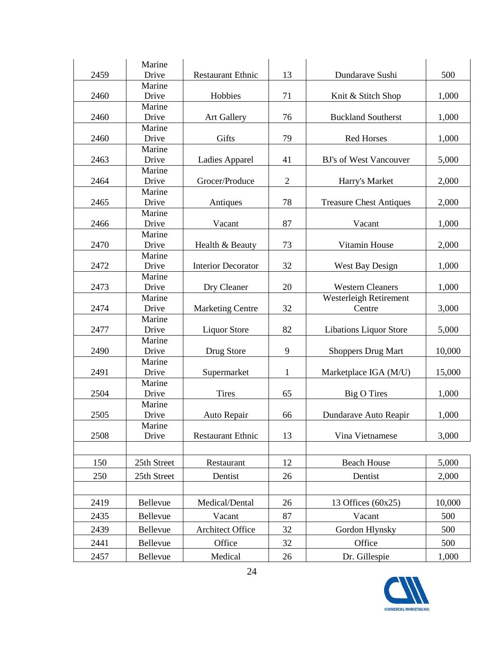|      | Marine          |                           |                |                                |        |
|------|-----------------|---------------------------|----------------|--------------------------------|--------|
| 2459 | Drive           | <b>Restaurant Ethnic</b>  | 13             | Dundarave Sushi                | 500    |
|      | Marine          |                           |                |                                |        |
| 2460 | Drive           | Hobbies                   | 71             | Knit & Stitch Shop             | 1,000  |
|      | Marine          |                           |                |                                |        |
| 2460 | Drive           | <b>Art Gallery</b>        | 76             | <b>Buckland Southerst</b>      | 1,000  |
|      | Marine          |                           |                |                                |        |
| 2460 | Drive           | Gifts                     | 79             | <b>Red Horses</b>              | 1,000  |
|      | Marine          |                           |                |                                |        |
| 2463 | Drive           | Ladies Apparel            | 41             | BJ's of West Vancouver         | 5,000  |
|      | Marine          |                           |                |                                |        |
| 2464 | Drive           | Grocer/Produce            | $\overline{2}$ | Harry's Market                 | 2,000  |
|      | Marine          |                           |                |                                |        |
| 2465 | Drive           | Antiques                  | 78             | <b>Treasure Chest Antiques</b> | 2,000  |
|      | Marine          |                           |                |                                |        |
| 2466 | Drive           | Vacant                    | 87             | Vacant                         | 1,000  |
|      | Marine          |                           |                |                                |        |
| 2470 | Drive           | Health & Beauty           | 73             | Vitamin House                  | 2,000  |
|      | Marine          |                           |                |                                |        |
| 2472 | Drive           | <b>Interior Decorator</b> | 32             | <b>West Bay Design</b>         | 1,000  |
|      | Marine          |                           |                |                                |        |
| 2473 | Drive           | Dry Cleaner               | 20             | <b>Western Cleaners</b>        | 1,000  |
| 2474 | Marine<br>Drive |                           | 32             | Westerleigh Retirement         |        |
|      | Marine          | <b>Marketing Centre</b>   |                | Centre                         | 3,000  |
| 2477 | Drive           | <b>Liquor Store</b>       | 82             | <b>Libations Liquor Store</b>  | 5,000  |
|      | Marine          |                           |                |                                |        |
| 2490 | Drive           | Drug Store                | 9              | <b>Shoppers Drug Mart</b>      | 10,000 |
|      | Marine          |                           |                |                                |        |
| 2491 | Drive           | Supermarket               | 1              | Marketplace IGA (M/U)          | 15,000 |
|      | Marine          |                           |                |                                |        |
| 2504 | Drive           | <b>Tires</b>              | 65             | <b>Big O Tires</b>             | 1,000  |
|      | Marine          |                           |                |                                |        |
| 2505 | Drive           | Auto Repair               | 66             | Dundarave Auto Reapir          | 1,000  |
|      | Marine          |                           |                |                                |        |
| 2508 | Drive           | <b>Restaurant Ethnic</b>  | 13             | Vina Vietnamese                | 3,000  |
|      |                 |                           |                |                                |        |
| 150  | 25th Street     | Restaurant                | 12             | <b>Beach House</b>             | 5,000  |
|      |                 |                           |                |                                |        |
| 250  | 25th Street     | Dentist                   | 26             | Dentist                        | 2,000  |
|      |                 |                           |                |                                |        |
| 2419 | Bellevue        | Medical/Dental            | 26             | 13 Offices $(60x25)$           | 10,000 |
| 2435 | Bellevue        | Vacant                    | 87             | Vacant                         | 500    |
|      | Bellevue        | <b>Architect Office</b>   |                |                                | 500    |
| 2439 |                 |                           | 32             | Gordon Hlynsky                 |        |
| 2441 | Bellevue        | Office                    | 32             | Office                         | 500    |
| 2457 | Bellevue        | Medical                   | 26             | Dr. Gillespie                  | 1,000  |

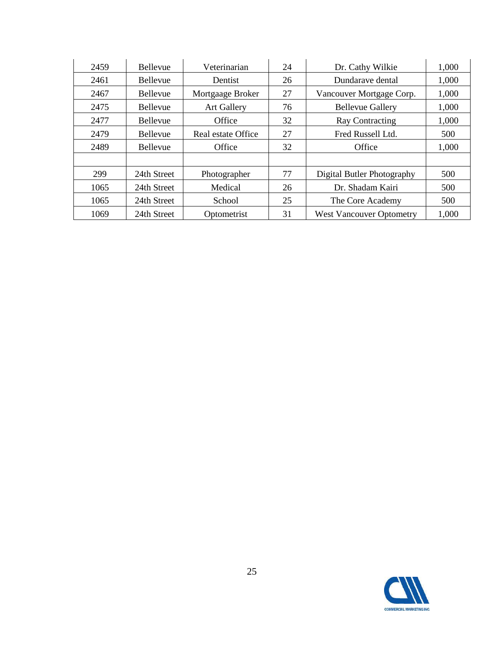| 2459 | <b>Bellevue</b> | Veterinarian       | 24 | Dr. Cathy Wilkie                | 1,000 |
|------|-----------------|--------------------|----|---------------------------------|-------|
| 2461 | <b>Bellevue</b> | Dentist            | 26 | Dundarave dental                | 1,000 |
| 2467 | <b>Bellevue</b> | Mortgaage Broker   | 27 | Vancouver Mortgage Corp.        | 1,000 |
| 2475 | <b>Bellevue</b> | <b>Art Gallery</b> | 76 | <b>Bellevue Gallery</b>         | 1,000 |
| 2477 | Bellevue        | Office             | 32 | <b>Ray Contracting</b>          | 1,000 |
| 2479 | <b>Bellevue</b> | Real estate Office | 27 | Fred Russell Ltd.               | 500   |
| 2489 | Bellevue        | Office             | 32 | Office                          | 1,000 |
|      |                 |                    |    |                                 |       |
| 299  | 24th Street     | Photographer       | 77 | Digital Butler Photography      | 500   |
| 1065 | 24th Street     | Medical            | 26 | Dr. Shadam Kairi                | 500   |
| 1065 | 24th Street     | School             | 25 | The Core Academy                | 500   |
| 1069 | 24th Street     | Optometrist        | 31 | <b>West Vancouver Optometry</b> | 1,000 |

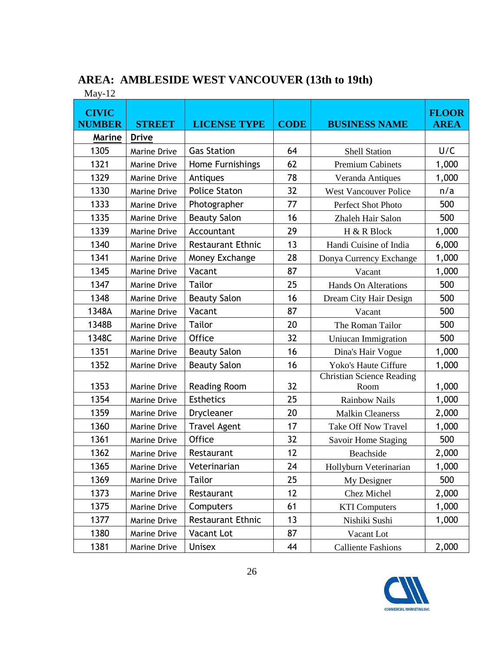| $1$ via y – 12                |                     |                          |             |                                          |                             |
|-------------------------------|---------------------|--------------------------|-------------|------------------------------------------|-----------------------------|
| <b>CIVIC</b><br><b>NUMBER</b> | <b>STREET</b>       | <b>LICENSE TYPE</b>      | <b>CODE</b> | <b>BUSINESS NAME</b>                     | <b>FLOOR</b><br><b>AREA</b> |
| <b>Marine</b>                 | <b>Drive</b>        |                          |             |                                          |                             |
| 1305                          | Marine Drive        | <b>Gas Station</b>       | 64          | <b>Shell Station</b>                     | U/C                         |
| 1321                          | Marine Drive        | Home Furnishings         | 62          | <b>Premium Cabinets</b>                  | 1,000                       |
| 1329                          | Marine Drive        | Antiques                 | 78          | Veranda Antiques                         | 1,000                       |
| 1330                          | Marine Drive        | <b>Police Staton</b>     | 32          | <b>West Vancouver Police</b>             | n/a                         |
| 1333                          | Marine Drive        | Photographer             | 77          | Perfect Shot Photo                       | 500                         |
| 1335                          | <b>Marine Drive</b> | <b>Beauty Salon</b>      | 16          | Zhaleh Hair Salon                        | 500                         |
| 1339                          | Marine Drive        | Accountant               | 29          | H & R Block                              | 1,000                       |
| 1340                          | Marine Drive        | <b>Restaurant Ethnic</b> | 13          | Handi Cuisine of India                   | 6,000                       |
| 1341                          | Marine Drive        | Money Exchange           | 28          | Donya Currency Exchange                  | 1,000                       |
| 1345                          | Marine Drive        | Vacant                   | 87          | Vacant                                   | 1,000                       |
| 1347                          | <b>Marine Drive</b> | <b>Tailor</b>            | 25          | Hands On Alterations                     | 500                         |
| 1348                          | Marine Drive        | <b>Beauty Salon</b>      | 16          | Dream City Hair Design                   | 500                         |
| 1348A                         | Marine Drive        | Vacant                   | 87          | Vacant                                   | 500                         |
| 1348B                         | <b>Marine Drive</b> | <b>Tailor</b>            | 20          | The Roman Tailor                         | 500                         |
| 1348C                         | Marine Drive        | <b>Office</b>            | 32          | Uniucan Immigration                      | 500                         |
| 1351                          | Marine Drive        | <b>Beauty Salon</b>      | 16          | Dina's Hair Vogue                        | 1,000                       |
| 1352                          | Marine Drive        | <b>Beauty Salon</b>      | 16          | Yoko's Haute Ciffure                     | 1,000                       |
| 1353                          | <b>Marine Drive</b> | <b>Reading Room</b>      | 32          | <b>Christian Science Reading</b><br>Room | 1,000                       |
| 1354                          | Marine Drive        | <b>Esthetics</b>         | 25          | Rainbow Nails                            | 1,000                       |
| 1359                          | <b>Marine Drive</b> | Drycleaner               | 20          | <b>Malkin Cleanerss</b>                  | 2,000                       |
| 1360                          | Marine Drive        | <b>Travel Agent</b>      | 17          | <b>Take Off Now Travel</b>               | 1,000                       |
| 1361                          | Marine Drive        | Office                   | 32          | Savoir Home Staging                      | 500                         |
| 1362                          | Marine Drive        | Restaurant               | 12          | Beachside                                | 2,000                       |
| 1365                          | Marine Drive        | Veterinarian             | 24          | Hollyburn Veterinarian                   | 1,000                       |
| 1369                          | Marine Drive        | Tailor                   | 25          | My Designer                              | 500                         |
| 1373                          | Marine Drive        | Restaurant               | 12          | Chez Michel                              | 2,000                       |
| 1375                          | Marine Drive        | Computers                | 61          | <b>KTI Computers</b>                     | 1,000                       |
| 1377                          | Marine Drive        | <b>Restaurant Ethnic</b> | 13          | Nishiki Sushi                            | 1,000                       |
| 1380                          | Marine Drive        | Vacant Lot               | 87          | Vacant Lot                               |                             |
| 1381                          | Marine Drive        | <b>Unisex</b>            | 44          | <b>Calliente Fashions</b>                | 2,000                       |

### **AREA: AMBLESIDE WEST VANCOUVER (13th to 19th)**

May-12

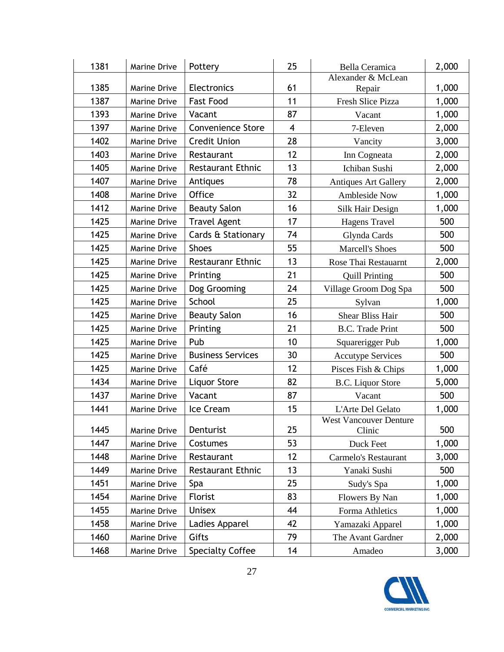| 1381 | Marine Drive        | Pottery                  | 25                      | <b>Bella Ceramica</b>                   | 2,000 |
|------|---------------------|--------------------------|-------------------------|-----------------------------------------|-------|
|      |                     |                          |                         | Alexander & McLean                      |       |
| 1385 | Marine Drive        | Electronics              | 61                      | Repair                                  | 1,000 |
| 1387 | <b>Marine Drive</b> | <b>Fast Food</b>         | 11                      | Fresh Slice Pizza                       | 1,000 |
| 1393 | Marine Drive        | Vacant                   | 87                      | Vacant                                  | 1,000 |
| 1397 | Marine Drive        | <b>Convenience Store</b> | $\overline{\mathbf{4}}$ | 7-Eleven                                | 2,000 |
| 1402 | Marine Drive        | <b>Credit Union</b>      | 28                      | Vancity                                 | 3,000 |
| 1403 | Marine Drive        | Restaurant               | 12                      | Inn Cogneata                            | 2,000 |
| 1405 | Marine Drive        | <b>Restaurant Ethnic</b> | 13                      | Ichiban Sushi                           | 2,000 |
| 1407 | Marine Drive        | Antiques                 | 78                      | <b>Antiques Art Gallery</b>             | 2,000 |
| 1408 | Marine Drive        | <b>Office</b>            | 32                      | <b>Ambleside Now</b>                    | 1,000 |
| 1412 | Marine Drive        | <b>Beauty Salon</b>      | 16                      | Silk Hair Design                        | 1,000 |
| 1425 | Marine Drive        | <b>Travel Agent</b>      | 17                      | Hagens Travel                           | 500   |
| 1425 | Marine Drive        | Cards & Stationary       | 74                      | Glynda Cards                            | 500   |
| 1425 | Marine Drive        | <b>Shoes</b>             | 55                      | <b>Marcell's Shoes</b>                  | 500   |
| 1425 | <b>Marine Drive</b> | <b>Restauranr Ethnic</b> | 13                      | Rose Thai Restauarnt                    | 2,000 |
| 1425 | Marine Drive        | Printing                 | 21                      | <b>Quill Printing</b>                   | 500   |
| 1425 | Marine Drive        | Dog Grooming             | 24                      | Village Groom Dog Spa                   | 500   |
| 1425 | Marine Drive        | School                   | 25                      | Sylvan                                  | 1,000 |
| 1425 | <b>Marine Drive</b> | <b>Beauty Salon</b>      | 16                      | <b>Shear Bliss Hair</b>                 | 500   |
| 1425 | Marine Drive        | Printing                 | 21                      | <b>B.C.</b> Trade Print                 | 500   |
| 1425 | Marine Drive        | Pub                      | 10                      | Squarerigger Pub                        | 1,000 |
| 1425 | Marine Drive        | <b>Business Services</b> | 30                      | <b>Accutype Services</b>                | 500   |
| 1425 | Marine Drive        | Café                     | 12                      | Pisces Fish & Chips                     | 1,000 |
| 1434 | Marine Drive        | Liquor Store             | 82                      | <b>B.C.</b> Liquor Store                | 5,000 |
| 1437 | Marine Drive        | Vacant                   | 87                      | Vacant                                  | 500   |
| 1441 | Marine Drive        | Ice Cream                | 15                      | L'Arte Del Gelato                       | 1,000 |
| 1445 | Marine Drive        | Denturist                | 25                      | <b>West Vancouver Denture</b><br>Clinic | 500   |
| 1447 | Marine Drive        | Costumes                 | 53                      | Duck Feet                               | 1,000 |
| 1448 | Marine Drive        | Restaurant               | 12                      | Carmelo's Restaurant                    | 3,000 |
| 1449 | Marine Drive        | <b>Restaurant Ethnic</b> | 13                      | Yanaki Sushi                            | 500   |
| 1451 | Marine Drive        | Spa                      | 25                      | Sudy's Spa                              | 1,000 |
| 1454 | Marine Drive        | Florist                  | 83                      | Flowers By Nan                          | 1,000 |
| 1455 | Marine Drive        | <b>Unisex</b>            | 44                      | Forma Athletics                         | 1,000 |
| 1458 | Marine Drive        | Ladies Apparel           | 42                      | Yamazaki Apparel                        | 1,000 |
| 1460 | Marine Drive        | Gifts                    | 79                      | The Avant Gardner                       | 2,000 |
| 1468 | Marine Drive        | <b>Specialty Coffee</b>  | 14                      | Amadeo                                  | 3,000 |

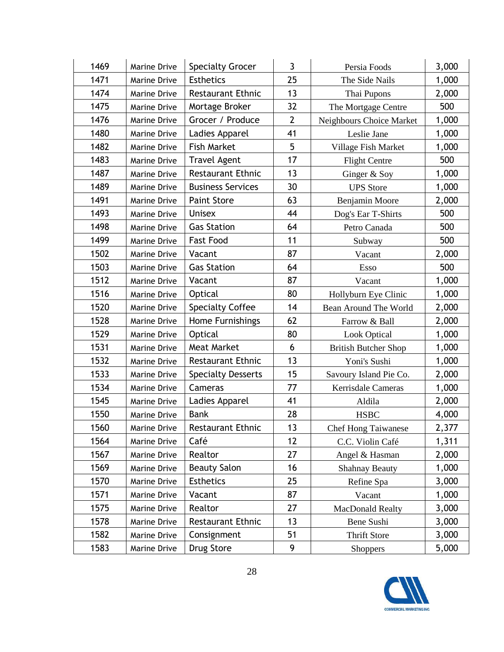| 1469 | Marine Drive        | <b>Specialty Grocer</b>   | 3              | Persia Foods                | 3,000 |
|------|---------------------|---------------------------|----------------|-----------------------------|-------|
| 1471 | Marine Drive        | <b>Esthetics</b>          | 25             | The Side Nails              | 1,000 |
| 1474 | Marine Drive        | <b>Restaurant Ethnic</b>  | 13             | Thai Pupons                 | 2,000 |
| 1475 | Marine Drive        | Mortage Broker            | 32             | The Mortgage Centre         | 500   |
| 1476 | Marine Drive        | Grocer / Produce          | $\overline{2}$ | Neighbours Choice Market    | 1,000 |
| 1480 | Marine Drive        | Ladies Apparel            | 41             | Leslie Jane                 | 1,000 |
| 1482 | Marine Drive        | <b>Fish Market</b>        | 5              | Village Fish Market         | 1,000 |
| 1483 | <b>Marine Drive</b> | <b>Travel Agent</b>       | 17             | <b>Flight Centre</b>        | 500   |
| 1487 | Marine Drive        | <b>Restaurant Ethnic</b>  | 13             | Ginger & Soy                | 1,000 |
| 1489 | Marine Drive        | <b>Business Services</b>  | 30             | <b>UPS</b> Store            | 1,000 |
| 1491 | Marine Drive        | <b>Paint Store</b>        | 63             | Benjamin Moore              | 2,000 |
| 1493 | Marine Drive        | <b>Unisex</b>             | 44             | Dog's Ear T-Shirts          | 500   |
| 1498 | Marine Drive        | <b>Gas Station</b>        | 64             | Petro Canada                | 500   |
| 1499 | Marine Drive        | <b>Fast Food</b>          | 11             | Subway                      | 500   |
| 1502 | Marine Drive        | Vacant                    | 87             | Vacant                      | 2,000 |
| 1503 | Marine Drive        | <b>Gas Station</b>        | 64             | Esso                        | 500   |
| 1512 | Marine Drive        | Vacant                    | 87             | Vacant                      | 1,000 |
| 1516 | Marine Drive        | Optical                   | 80             | Hollyburn Eye Clinic        | 1,000 |
| 1520 | Marine Drive        | <b>Specialty Coffee</b>   | 14             | Bean Around The World       | 2,000 |
| 1528 | Marine Drive        | Home Furnishings          | 62             | Farrow & Ball               | 2,000 |
| 1529 | Marine Drive        | Optical                   | 80             | <b>Look Optical</b>         | 1,000 |
| 1531 | Marine Drive        | <b>Meat Market</b>        | 6              | <b>British Butcher Shop</b> | 1,000 |
| 1532 | Marine Drive        | <b>Restaurant Ethnic</b>  | 13             | Yoni's Sushi                | 1,000 |
| 1533 | Marine Drive        | <b>Specialty Desserts</b> | 15             | Savoury Island Pie Co.      | 2,000 |
| 1534 | Marine Drive        | Cameras                   | 77             | Kerrisdale Cameras          | 1,000 |
| 1545 | <b>Marine Drive</b> | Ladies Apparel            | 41             | Aldila                      | 2,000 |
| 1550 | <b>Marine Drive</b> | <b>Bank</b>               | 28             | <b>HSBC</b>                 | 4,000 |
| 1560 | Marine Drive        | <b>Restaurant Ethnic</b>  | 13             | <b>Chef Hong Taiwanese</b>  | 2,377 |
| 1564 | Marine Drive        | Café                      | 12             | C.C. Violin Café            | 1,311 |
| 1567 | <b>Marine Drive</b> | Realtor                   | 27             | Angel & Hasman              | 2,000 |
| 1569 | Marine Drive        | <b>Beauty Salon</b>       | 16             | <b>Shahnay Beauty</b>       | 1,000 |
| 1570 | Marine Drive        | <b>Esthetics</b>          | 25             | Refine Spa                  | 3,000 |
| 1571 | Marine Drive        | Vacant                    | 87             | Vacant                      | 1,000 |
| 1575 | Marine Drive        | Realtor                   | 27             | MacDonald Realty            | 3,000 |
| 1578 | Marine Drive        | <b>Restaurant Ethnic</b>  | 13             | Bene Sushi                  | 3,000 |
| 1582 | Marine Drive        | Consignment               | 51             | <b>Thrift Store</b>         | 3,000 |
| 1583 | Marine Drive        | Drug Store                | 9              | <b>Shoppers</b>             | 5,000 |

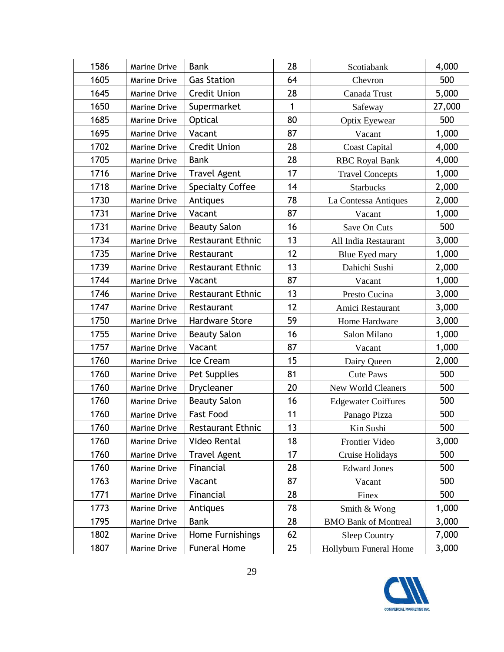| 1586 | <b>Marine Drive</b> | <b>Bank</b>              | 28 | Scotiabank                  | 4,000  |
|------|---------------------|--------------------------|----|-----------------------------|--------|
| 1605 | Marine Drive        | <b>Gas Station</b>       | 64 | Chevron                     | 500    |
| 1645 | Marine Drive        | <b>Credit Union</b>      | 28 | Canada Trust                | 5,000  |
| 1650 | Marine Drive        | Supermarket              | 1  | Safeway                     | 27,000 |
| 1685 | Marine Drive        | Optical                  | 80 | <b>Optix Eyewear</b>        | 500    |
| 1695 | Marine Drive        | Vacant                   | 87 | Vacant                      | 1,000  |
| 1702 | Marine Drive        | <b>Credit Union</b>      | 28 | <b>Coast Capital</b>        | 4,000  |
| 1705 | Marine Drive        | <b>Bank</b>              | 28 | <b>RBC Royal Bank</b>       | 4,000  |
| 1716 | Marine Drive        | <b>Travel Agent</b>      | 17 | <b>Travel Concepts</b>      | 1,000  |
| 1718 | Marine Drive        | <b>Specialty Coffee</b>  | 14 | <b>Starbucks</b>            | 2,000  |
| 1730 | Marine Drive        | Antiques                 | 78 | La Contessa Antiques        | 2,000  |
| 1731 | Marine Drive        | Vacant                   | 87 | Vacant                      | 1,000  |
| 1731 | Marine Drive        | <b>Beauty Salon</b>      | 16 | Save On Cuts                | 500    |
| 1734 | <b>Marine Drive</b> | <b>Restaurant Ethnic</b> | 13 | All India Restaurant        | 3,000  |
| 1735 | <b>Marine Drive</b> | Restaurant               | 12 | Blue Eyed mary              | 1,000  |
| 1739 | <b>Marine Drive</b> | <b>Restaurant Ethnic</b> | 13 | Dahichi Sushi               | 2,000  |
| 1744 | Marine Drive        | Vacant                   | 87 | Vacant                      | 1,000  |
| 1746 | Marine Drive        | <b>Restaurant Ethnic</b> | 13 | Presto Cucina               | 3,000  |
| 1747 | Marine Drive        | Restaurant               | 12 | Amici Restaurant            | 3,000  |
| 1750 | Marine Drive        | Hardware Store           | 59 | Home Hardware               | 3,000  |
| 1755 | Marine Drive        | <b>Beauty Salon</b>      | 16 | Salon Milano                | 1,000  |
| 1757 | Marine Drive        | Vacant                   | 87 | Vacant                      | 1,000  |
| 1760 | Marine Drive        | Ice Cream                | 15 | Dairy Queen                 | 2,000  |
| 1760 | Marine Drive        | Pet Supplies             | 81 | <b>Cute Paws</b>            | 500    |
| 1760 | Marine Drive        | Drycleaner               | 20 | New World Cleaners          | 500    |
| 1760 | <b>Marine Drive</b> | <b>Beauty Salon</b>      | 16 | <b>Edgewater Coiffures</b>  | 500    |
| 1760 | <b>Marine Drive</b> | <b>Fast Food</b>         | 11 | Panago Pizza                | 500    |
| 1760 | Marine Drive        | <b>Restaurant Ethnic</b> | 13 | Kin Sushi                   | 500    |
| 1760 | Marine Drive        | Video Rental             | 18 | Frontier Video              | 3,000  |
| 1760 | Marine Drive        | <b>Travel Agent</b>      | 17 | Cruise Holidays             | 500    |
| 1760 | Marine Drive        | Financial                | 28 | <b>Edward Jones</b>         | 500    |
| 1763 | Marine Drive        | Vacant                   | 87 | Vacant                      | 500    |
| 1771 | Marine Drive        | Financial                | 28 | Finex                       | 500    |
| 1773 | Marine Drive        | Antiques                 | 78 | Smith & Wong                | 1,000  |
| 1795 | Marine Drive        | <b>Bank</b>              | 28 | <b>BMO Bank of Montreal</b> | 3,000  |
| 1802 | Marine Drive        | Home Furnishings         | 62 | <b>Sleep Country</b>        | 7,000  |
| 1807 | Marine Drive        | <b>Funeral Home</b>      | 25 | Hollyburn Funeral Home      | 3,000  |

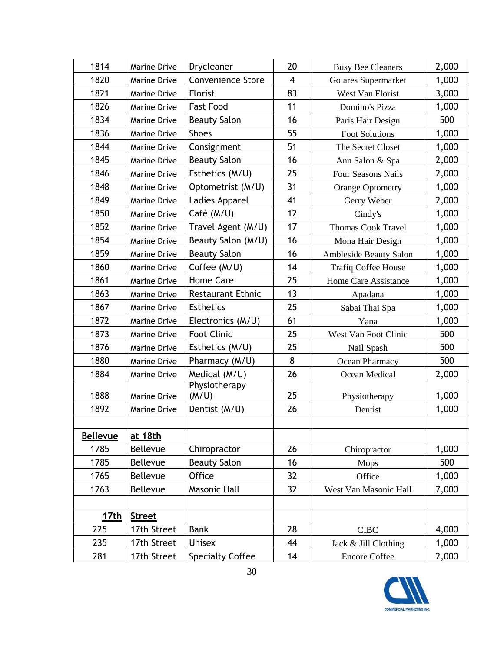| 1814            | Marine Drive        | Drycleaner               | 20                      | <b>Busy Bee Cleaners</b>      | 2,000 |
|-----------------|---------------------|--------------------------|-------------------------|-------------------------------|-------|
| 1820            | <b>Marine Drive</b> | <b>Convenience Store</b> | $\overline{\mathbf{4}}$ | Golares Supermarket           | 1,000 |
| 1821            | Marine Drive        | Florist                  | 83                      | West Van Florist              | 3,000 |
| 1826            | Marine Drive        | <b>Fast Food</b>         | 11                      | Domino's Pizza                | 1,000 |
| 1834            | Marine Drive        | <b>Beauty Salon</b>      | 16                      | Paris Hair Design             | 500   |
| 1836            | Marine Drive        | <b>Shoes</b>             | 55                      | <b>Foot Solutions</b>         | 1,000 |
| 1844            | <b>Marine Drive</b> | Consignment              | 51                      | The Secret Closet             | 1,000 |
| 1845            | Marine Drive        | <b>Beauty Salon</b>      | 16                      | Ann Salon & Spa               | 2,000 |
| 1846            | Marine Drive        | Esthetics (M/U)          | 25                      | <b>Four Seasons Nails</b>     | 2,000 |
| 1848            | Marine Drive        | Optometrist (M/U)        | 31                      | <b>Orange Optometry</b>       | 1,000 |
| 1849            | Marine Drive        | Ladies Apparel           | 41                      | Gerry Weber                   | 2,000 |
| 1850            | Marine Drive        | Café (M/U)               | 12                      | Cindy's                       | 1,000 |
| 1852            | Marine Drive        | Travel Agent (M/U)       | 17                      | <b>Thomas Cook Travel</b>     | 1,000 |
| 1854            | <b>Marine Drive</b> | Beauty Salon (M/U)       | 16                      | Mona Hair Design              | 1,000 |
| 1859            | Marine Drive        | <b>Beauty Salon</b>      | 16                      | <b>Ambleside Beauty Salon</b> | 1,000 |
| 1860            | <b>Marine Drive</b> | Coffee (M/U)             | 14                      | <b>Trafiq Coffee House</b>    | 1,000 |
| 1861            | Marine Drive        | <b>Home Care</b>         | 25                      | Home Care Assistance          | 1,000 |
| 1863            | Marine Drive        | <b>Restaurant Ethnic</b> | 13                      | Apadana                       | 1,000 |
| 1867            | Marine Drive        | <b>Esthetics</b>         | 25                      | Sabai Thai Spa                | 1,000 |
| 1872            | Marine Drive        | Electronics (M/U)        | 61                      | Yana                          | 1,000 |
| 1873            | Marine Drive        | <b>Foot Clinic</b>       | 25                      | West Van Foot Clinic          | 500   |
| 1876            | Marine Drive        | Esthetics (M/U)          | 25                      | Nail Spash                    | 500   |
| 1880            | Marine Drive        | Pharmacy (M/U)           | 8                       | Ocean Pharmacy                | 500   |
| 1884            | Marine Drive        | Medical (M/U)            | 26                      | Ocean Medical                 | 2,000 |
| 1888            | <b>Marine Drive</b> | Physiotherapy<br>(M/U)   | 25                      | Physiotherapy                 | 1,000 |
| 1892            | Marine Drive        | Dentist (M/U)            | 26                      | Dentist                       | 1,000 |
|                 |                     |                          |                         |                               |       |
| <b>Bellevue</b> | at 18th             |                          |                         |                               |       |
| 1785            | Bellevue            | Chiropractor             | 26                      | Chiropractor                  | 1,000 |
| 1785            | Bellevue            | <b>Beauty Salon</b>      | 16                      | <b>Mops</b>                   | 500   |
| 1765            | Bellevue            | Office                   | 32                      | Office                        | 1,000 |
| 1763            | Bellevue            | Masonic Hall             | 32                      | West Van Masonic Hall         | 7,000 |
|                 |                     |                          |                         |                               |       |
| 17th            | <b>Street</b>       |                          |                         |                               |       |
| 225             | 17th Street         | <b>Bank</b>              | 28                      | <b>CIBC</b>                   | 4,000 |
| 235             | 17th Street         | <b>Unisex</b>            | 44                      | Jack & Jill Clothing          | 1,000 |
| 281             | 17th Street         | <b>Specialty Coffee</b>  | 14                      | <b>Encore Coffee</b>          | 2,000 |

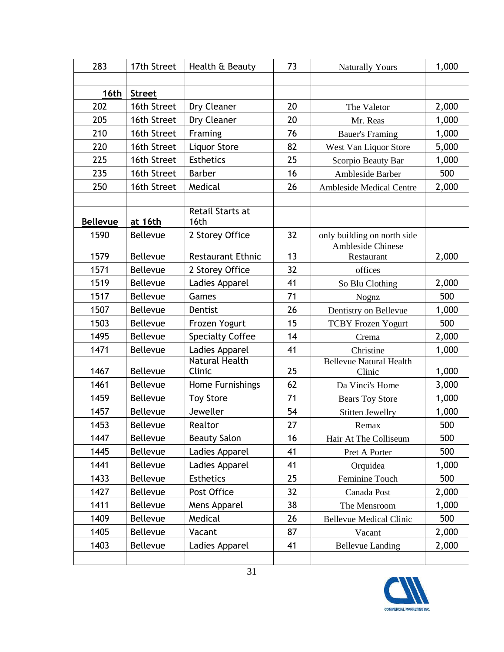| 283             | 17th Street     | Health & Beauty                 | 73 | <b>Naturally Yours</b>                   | 1,000 |
|-----------------|-----------------|---------------------------------|----|------------------------------------------|-------|
|                 |                 |                                 |    |                                          |       |
| 16th            | <b>Street</b>   |                                 |    |                                          |       |
| 202             | 16th Street     | Dry Cleaner                     | 20 | The Valetor                              | 2,000 |
| 205             | 16th Street     | Dry Cleaner                     | 20 | Mr. Reas                                 | 1,000 |
| 210             | 16th Street     | Framing                         | 76 | <b>Bauer's Framing</b>                   | 1,000 |
| 220             | 16th Street     | Liquor Store                    | 82 | West Van Liquor Store                    | 5,000 |
| 225             | 16th Street     | <b>Esthetics</b>                | 25 | Scorpio Beauty Bar                       | 1,000 |
| 235             | 16th Street     | <b>Barber</b>                   | 16 | Ambleside Barber                         | 500   |
| 250             | 16th Street     | Medical                         | 26 | <b>Ambleside Medical Centre</b>          | 2,000 |
|                 |                 |                                 |    |                                          |       |
| <b>Bellevue</b> | at 16th         | Retail Starts at<br>16th        |    |                                          |       |
| 1590            | Bellevue        | 2 Storey Office                 | 32 | only building on north side              |       |
|                 |                 |                                 |    | <b>Ambleside Chinese</b>                 |       |
| 1579            | <b>Bellevue</b> | <b>Restaurant Ethnic</b>        | 13 | Restaurant                               | 2,000 |
| 1571            | Bellevue        | 2 Storey Office                 | 32 | offices                                  |       |
| 1519            | <b>Bellevue</b> | Ladies Apparel                  | 41 | So Blu Clothing                          | 2,000 |
| 1517            | Bellevue        | Games                           | 71 | Nognz                                    | 500   |
| 1507            | <b>Bellevue</b> | Dentist                         | 26 | Dentistry on Bellevue                    | 1,000 |
| 1503            | Bellevue        | Frozen Yogurt                   | 15 | <b>TCBY Frozen Yogurt</b>                | 500   |
| 1495            | Bellevue        | <b>Specialty Coffee</b>         | 14 | Crema                                    | 2,000 |
| 1471            | <b>Bellevue</b> | Ladies Apparel                  | 41 | Christine                                | 1,000 |
| 1467            | <b>Bellevue</b> | <b>Natural Health</b><br>Clinic | 25 | <b>Bellevue Natural Health</b><br>Clinic | 1,000 |
| 1461            | Bellevue        | Home Furnishings                | 62 | Da Vinci's Home                          | 3,000 |
| 1459            | Bellevue        | <b>Toy Store</b>                | 71 | <b>Bears Toy Store</b>                   | 1,000 |
| 1457            | Bellevue        | Jeweller                        | 54 | <b>Stitten Jewellry</b>                  | 1,000 |
| 1453            | Bellevue        | Realtor                         | 27 | Remax                                    | 500   |
| 1447            | <b>Bellevue</b> | <b>Beauty Salon</b>             | 16 | Hair At The Colliseum                    | 500   |
| 1445            | Bellevue        | Ladies Apparel                  | 41 | Pret A Porter                            | 500   |
| 1441            | Bellevue        | Ladies Apparel                  | 41 | Orquidea                                 | 1,000 |
| 1433            | Bellevue        | <b>Esthetics</b>                | 25 | Feminine Touch                           | 500   |
| 1427            | Bellevue        | Post Office                     | 32 | Canada Post                              | 2,000 |
| 1411            | Bellevue        | Mens Apparel                    | 38 | The Mensroom                             | 1,000 |
| 1409            | Bellevue        | Medical                         | 26 | <b>Bellevue Medical Clinic</b>           | 500   |
| 1405            | Bellevue        | Vacant                          | 87 | Vacant                                   | 2,000 |
| 1403            | Bellevue        | Ladies Apparel                  | 41 | <b>Bellevue Landing</b>                  | 2,000 |
|                 |                 |                                 |    |                                          |       |

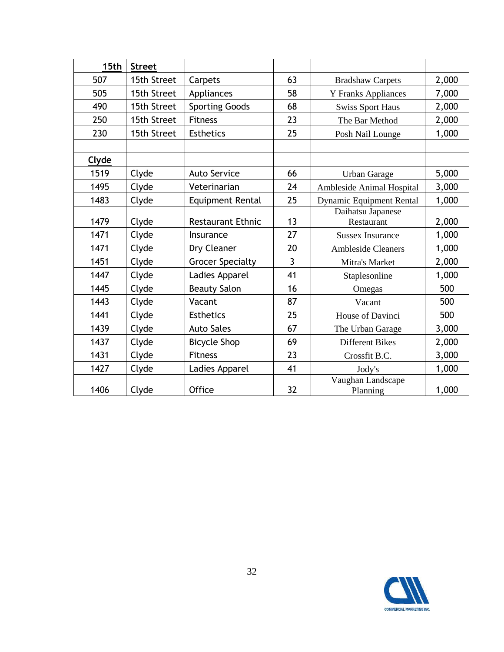| 15th  | <b>Street</b> |                          |    |                                 |       |
|-------|---------------|--------------------------|----|---------------------------------|-------|
| 507   | 15th Street   | Carpets                  | 63 | <b>Bradshaw Carpets</b>         | 2,000 |
| 505   | 15th Street   | Appliances               | 58 | <b>Y</b> Franks Appliances      | 7,000 |
| 490   | 15th Street   | <b>Sporting Goods</b>    | 68 | <b>Swiss Sport Haus</b>         | 2,000 |
| 250   | 15th Street   | <b>Fitness</b>           | 23 | The Bar Method                  | 2,000 |
| 230   | 15th Street   | <b>Esthetics</b>         | 25 | Posh Nail Lounge                | 1,000 |
|       |               |                          |    |                                 |       |
| Clyde |               |                          |    |                                 |       |
| 1519  | Clyde         | <b>Auto Service</b>      | 66 | <b>Urban Garage</b>             | 5,000 |
| 1495  | Clyde         | Veterinarian             | 24 | Ambleside Animal Hospital       | 3,000 |
| 1483  | Clyde         | Equipment Rental         | 25 | <b>Dynamic Equipment Rental</b> | 1,000 |
| 1479  | Clyde         | <b>Restaurant Ethnic</b> | 13 | Daihatsu Japanese<br>Restaurant | 2,000 |
| 1471  | Clyde         | Insurance                | 27 | <b>Sussex Insurance</b>         | 1,000 |
| 1471  | Clyde         | Dry Cleaner              | 20 | <b>Ambleside Cleaners</b>       | 1,000 |
| 1451  | Clyde         | <b>Grocer Specialty</b>  | 3  | Mitra's Market                  | 2,000 |
| 1447  | Clyde         | Ladies Apparel           | 41 | Staplesonline                   | 1,000 |
| 1445  | Clyde         | <b>Beauty Salon</b>      | 16 | Omegas                          | 500   |
| 1443  | Clyde         | Vacant                   | 87 | Vacant                          | 500   |
| 1441  | Clyde         | <b>Esthetics</b>         | 25 | House of Davinci                | 500   |
| 1439  | Clyde         | <b>Auto Sales</b>        | 67 | The Urban Garage                | 3,000 |
| 1437  | Clyde         | <b>Bicycle Shop</b>      | 69 | <b>Different Bikes</b>          | 2,000 |
| 1431  | Clyde         | <b>Fitness</b>           | 23 | Crossfit B.C.                   | 3,000 |
| 1427  | Clyde         | Ladies Apparel           | 41 | Jody's                          | 1,000 |
| 1406  | Clyde         | <b>Office</b>            | 32 | Vaughan Landscape<br>Planning   | 1,000 |

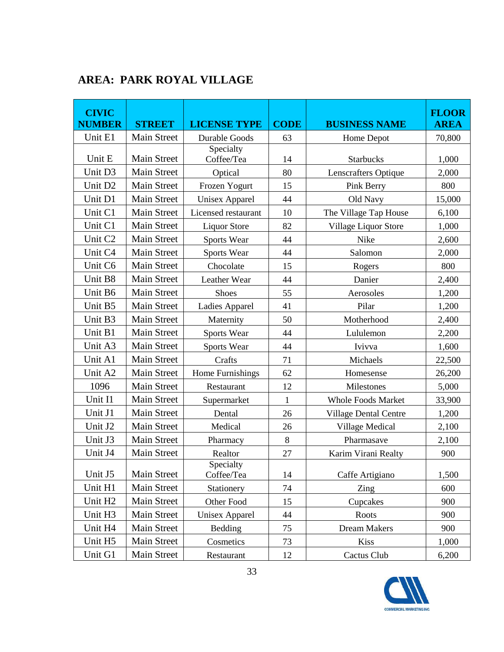| <b>CIVIC</b><br><b>NUMBER</b> | <b>STREET</b>      | <b>LICENSE TYPE</b>     | <b>CODE</b> | <b>BUSINESS NAME</b>         | <b>FLOOR</b><br><b>AREA</b> |
|-------------------------------|--------------------|-------------------------|-------------|------------------------------|-----------------------------|
| Unit E1                       | <b>Main Street</b> | <b>Durable Goods</b>    | 63          | Home Depot                   | 70,800                      |
|                               |                    | Specialty               |             |                              |                             |
| Unit E                        | <b>Main Street</b> | Coffee/Tea              | 14          | <b>Starbucks</b>             | 1,000                       |
| Unit D3                       | <b>Main Street</b> | Optical                 | 80          | <b>Lenscrafters Optique</b>  | 2,000                       |
| Unit D <sub>2</sub>           | <b>Main Street</b> | Frozen Yogurt           | 15          | Pink Berry                   | 800                         |
| Unit D1                       | Main Street        | <b>Unisex Apparel</b>   | 44          | Old Navy                     | 15,000                      |
| Unit C1                       | <b>Main Street</b> | Licensed restaurant     | 10          | The Village Tap House        | 6,100                       |
| Unit C1                       | <b>Main Street</b> | <b>Liquor Store</b>     | 82          | Village Liquor Store         | 1,000                       |
| Unit C <sub>2</sub>           | <b>Main Street</b> | Sports Wear             | 44          | Nike                         | 2,600                       |
| Unit C4                       | <b>Main Street</b> | Sports Wear             | 44          | Salomon                      | 2,000                       |
| Unit C6                       | <b>Main Street</b> | Chocolate               | 15          | Rogers                       | 800                         |
| Unit B8                       | <b>Main Street</b> | Leather Wear            | 44          | Danier                       | 2,400                       |
| Unit B6                       | <b>Main Street</b> | Shoes                   | 55          | Aerosoles                    | 1,200                       |
| Unit B5                       | <b>Main Street</b> | Ladies Apparel          | 41          | Pilar                        | 1,200                       |
| Unit B3                       | <b>Main Street</b> | Maternity               | 50          | Motherhood                   | 2,400                       |
| Unit B1                       | <b>Main Street</b> | Sports Wear             | 44          | Lululemon                    | 2,200                       |
| Unit A3                       | Main Street        | Sports Wear             | 44          | Ivivva                       | 1,600                       |
| Unit A1                       | <b>Main Street</b> | Crafts                  | 71          | Michaels                     | 22,500                      |
| Unit A2                       | <b>Main Street</b> | Home Furnishings        | 62          | Homesense                    | 26,200                      |
| 1096                          | <b>Main Street</b> | Restaurant              | 12          | Milestones                   | 5,000                       |
| Unit I1                       | <b>Main Street</b> | Supermarket             | 1           | <b>Whole Foods Market</b>    | 33,900                      |
| Unit J1                       | <b>Main Street</b> | Dental                  | 26          | <b>Village Dental Centre</b> | 1,200                       |
| Unit J2                       | <b>Main Street</b> | Medical                 | 26          | Village Medical              | 2,100                       |
| Unit J3                       | <b>Main Street</b> | Pharmacy                | 8           | Pharmasave                   | 2,100                       |
| Unit J4                       | <b>Main Street</b> | Realtor                 | 27          | Karim Virani Realty          | 900                         |
| Unit J5                       | Main Street        | Specialty<br>Coffee/Tea | 14          | Caffe Artigiano              | 1,500                       |
| Unit H1                       | Main Street        | Stationery              | 74          | Zing                         | 600                         |
| Unit H <sub>2</sub>           | Main Street        | Other Food              | 15          | Cupcakes                     | 900                         |
| Unit H3                       | Main Street        | <b>Unisex Apparel</b>   | 44          | Roots                        | 900                         |
| Unit H4                       | Main Street        | Bedding                 | 75          | Dream Makers                 | 900                         |
| Unit H5                       | Main Street        | Cosmetics               | 73          | <b>Kiss</b>                  | 1,000                       |
| Unit G1                       | Main Street        | Restaurant              | 12          | Cactus Club                  | 6,200                       |

## **AREA: PARK ROYAL VILLAGE**

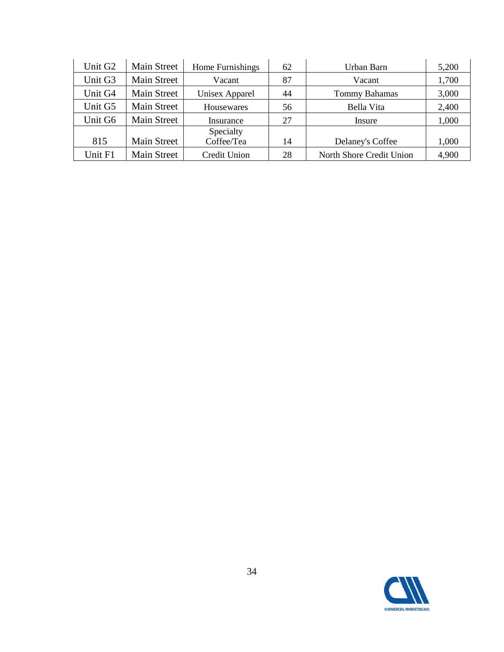| Unit G <sub>2</sub> | <b>Main Street</b> | Home Furnishings      | 62 | Urban Barn               | 5,200 |
|---------------------|--------------------|-----------------------|----|--------------------------|-------|
| Unit G3             | <b>Main Street</b> | Vacant                | 87 | Vacant                   | 1,700 |
| Unit G4             | Main Street        | <b>Unisex Apparel</b> | 44 | Tommy Bahamas            | 3,000 |
| Unit G5             | Main Street        | Housewares            | 56 | Bella Vita               | 2,400 |
| Unit G6             | <b>Main Street</b> | Insurance             | 27 | Insure                   | 1,000 |
|                     |                    | Specialty             |    |                          |       |
| 815                 | Main Street        | Coffee/Tea            | 14 | Delaney's Coffee         | 1,000 |
| Unit F1             | <b>Main Street</b> | Credit Union          | 28 | North Shore Credit Union | 4,900 |

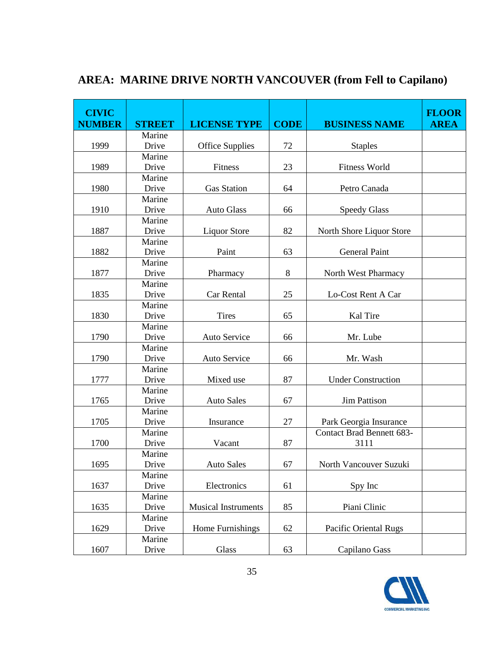| <b>CIVIC</b><br><b>NUMBER</b> | <b>STREET</b> | <b>LICENSE TYPE</b>        | <b>CODE</b> | <b>BUSINESS NAME</b>      | <b>FLOOR</b><br><b>AREA</b> |
|-------------------------------|---------------|----------------------------|-------------|---------------------------|-----------------------------|
|                               | Marine        |                            |             |                           |                             |
| 1999                          | Drive         | <b>Office Supplies</b>     | 72          | <b>Staples</b>            |                             |
|                               | Marine        |                            |             |                           |                             |
| 1989                          | Drive         | Fitness                    | 23          | <b>Fitness World</b>      |                             |
|                               | Marine        |                            |             |                           |                             |
| 1980                          | Drive         | <b>Gas Station</b>         | 64          | Petro Canada              |                             |
|                               | Marine        |                            |             |                           |                             |
| 1910                          | Drive         | <b>Auto Glass</b>          | 66          | <b>Speedy Glass</b>       |                             |
|                               | Marine        |                            |             |                           |                             |
| 1887                          | Drive         | <b>Liquor Store</b>        | 82          | North Shore Liquor Store  |                             |
|                               | Marine        |                            |             |                           |                             |
| 1882                          | Drive         | Paint                      | 63          | <b>General Paint</b>      |                             |
|                               | Marine        |                            |             |                           |                             |
| 1877                          | Drive         | Pharmacy                   | 8           | North West Pharmacy       |                             |
|                               | Marine        |                            |             |                           |                             |
| 1835                          | Drive         | Car Rental                 | 25          | Lo-Cost Rent A Car        |                             |
|                               | Marine        |                            |             |                           |                             |
| 1830                          | Drive         | <b>Tires</b>               | 65          | Kal Tire                  |                             |
|                               | Marine        |                            |             |                           |                             |
| 1790                          | Drive         | Auto Service               | 66          | Mr. Lube                  |                             |
|                               | Marine        |                            |             |                           |                             |
| 1790                          | Drive         | Auto Service               | 66          | Mr. Wash                  |                             |
|                               | Marine        |                            |             |                           |                             |
| 1777                          | Drive         | Mixed use                  | 87          | <b>Under Construction</b> |                             |
|                               | Marine        |                            |             |                           |                             |
| 1765                          | Drive         | <b>Auto Sales</b>          | 67          | <b>Jim Pattison</b>       |                             |
|                               | Marine        |                            |             |                           |                             |
| 1705                          | Drive         | Insurance                  | 27          | Park Georgia Insurance    |                             |
|                               | Marine        |                            |             | Contact Brad Bennett 683- |                             |
| 1700                          | Drive         | Vacant                     | 87          | 3111                      |                             |
|                               | Marine        |                            |             |                           |                             |
| 1695                          | Drive         | <b>Auto Sales</b>          | 67          | North Vancouver Suzuki    |                             |
|                               | Marine        |                            |             |                           |                             |
| 1637                          | Drive         | Electronics                | 61          | Spy Inc                   |                             |
|                               | Marine        |                            |             |                           |                             |
| 1635                          | Drive         | <b>Musical Instruments</b> | 85          | Piani Clinic              |                             |
|                               | Marine        |                            |             |                           |                             |
| 1629                          | Drive         | Home Furnishings           | 62          | Pacific Oriental Rugs     |                             |
|                               | Marine        |                            |             |                           |                             |
| 1607                          | Drive         | Glass                      | 63          | Capilano Gass             |                             |

## **AREA: MARINE DRIVE NORTH VANCOUVER (from Fell to Capilano)**

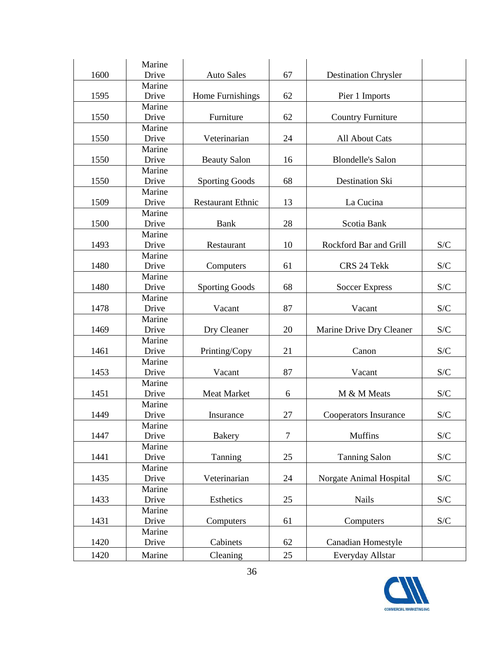| 1600 | Marine<br>Drive | <b>Auto Sales</b>        | 67             | <b>Destination Chrysler</b>  |                           |
|------|-----------------|--------------------------|----------------|------------------------------|---------------------------|
|      | Marine          |                          |                |                              |                           |
| 1595 | Drive           | Home Furnishings         | 62             | Pier 1 Imports               |                           |
|      | Marine          |                          |                |                              |                           |
| 1550 | Drive           | Furniture                | 62             | <b>Country Furniture</b>     |                           |
|      | Marine          |                          |                |                              |                           |
| 1550 | Drive           | Veterinarian             | 24             | All About Cats               |                           |
|      | Marine          |                          |                |                              |                           |
| 1550 | Drive           | <b>Beauty Salon</b>      | 16             | <b>Blondelle's Salon</b>     |                           |
|      | Marine          |                          |                |                              |                           |
| 1550 | Drive           | <b>Sporting Goods</b>    | 68             | Destination Ski              |                           |
|      | Marine          |                          |                |                              |                           |
| 1509 | Drive           | <b>Restaurant Ethnic</b> | 13             | La Cucina                    |                           |
|      | Marine          |                          |                |                              |                           |
| 1500 | Drive           | <b>Bank</b>              | 28             | Scotia Bank                  |                           |
|      | Marine          |                          |                |                              |                           |
| 1493 | Drive           | Restaurant               | 10             | Rockford Bar and Grill       | S/C                       |
|      | Marine          |                          |                |                              |                           |
| 1480 | Drive           | Computers                | 61             | CRS 24 Tekk                  | S/C                       |
|      | Marine          |                          |                |                              |                           |
| 1480 | Drive           | <b>Sporting Goods</b>    | 68             | <b>Soccer Express</b>        | S/C                       |
|      | Marine          |                          |                |                              |                           |
| 1478 | Drive           | Vacant                   | 87             | Vacant                       | S/C                       |
|      | Marine          |                          |                |                              |                           |
| 1469 | Drive           | Dry Cleaner              | 20             | Marine Drive Dry Cleaner     | S/C                       |
|      | Marine          |                          |                |                              |                           |
| 1461 | Drive           | Printing/Copy            | 21             | Canon                        | S/C                       |
|      | Marine          |                          |                |                              |                           |
| 1453 | Drive           | Vacant                   | 87             | Vacant                       | S/C                       |
|      | Marine          |                          |                |                              |                           |
| 1451 | Drive           | Meat Market              | 6              | M & M Meats                  | S/C                       |
|      | Marine          |                          |                |                              |                           |
| 1449 | Drive           | Insurance                | 27             | <b>Cooperators Insurance</b> | S/C                       |
|      | Marine          |                          |                |                              |                           |
| 1447 | Drive           | <b>Bakery</b>            | $\overline{7}$ | Muffins                      | $\mathcal{S}/\mathcal{C}$ |
|      | Marine          |                          |                |                              |                           |
| 1441 | Drive           | Tanning                  | 25             | <b>Tanning Salon</b>         | $\mathbf{S}/\mathbf{C}$   |
|      | Marine          |                          |                |                              |                           |
| 1435 | Drive           | Veterinarian             | 24             | Norgate Animal Hospital      | S/C                       |
|      | Marine          |                          |                |                              |                           |
| 1433 | Drive           | Esthetics                | 25             | <b>Nails</b>                 | $\mathcal{S}/\mathcal{C}$ |
|      | Marine          |                          |                |                              |                           |
| 1431 | Drive           | Computers                | 61             | Computers                    | $\mathcal{S}/\mathcal{C}$ |
|      | Marine          |                          |                |                              |                           |
| 1420 | Drive           | Cabinets                 | 62             | <b>Canadian Homestyle</b>    |                           |
| 1420 | Marine          | Cleaning                 | 25             | Everyday Allstar             |                           |

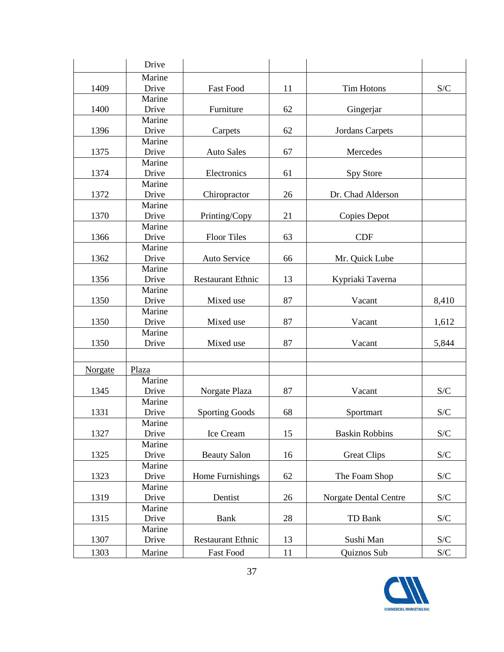|         | Drive  |                          |    |                        |                           |
|---------|--------|--------------------------|----|------------------------|---------------------------|
|         | Marine |                          |    |                        |                           |
| 1409    | Drive  | <b>Fast Food</b>         | 11 | <b>Tim Hotons</b>      | S/C                       |
|         | Marine |                          |    |                        |                           |
| 1400    | Drive  | Furniture                | 62 | Gingerjar              |                           |
|         | Marine |                          |    |                        |                           |
| 1396    | Drive  | Carpets                  | 62 | <b>Jordans Carpets</b> |                           |
|         | Marine |                          |    |                        |                           |
| 1375    | Drive  | <b>Auto Sales</b>        | 67 | Mercedes               |                           |
|         | Marine |                          |    |                        |                           |
| 1374    | Drive  | Electronics              | 61 | Spy Store              |                           |
|         | Marine |                          |    |                        |                           |
| 1372    | Drive  | Chiropractor             | 26 | Dr. Chad Alderson      |                           |
|         | Marine |                          |    |                        |                           |
| 1370    | Drive  | Printing/Copy            | 21 | Copies Depot           |                           |
|         | Marine |                          |    |                        |                           |
| 1366    | Drive  | <b>Floor Tiles</b>       | 63 | <b>CDF</b>             |                           |
|         | Marine |                          |    |                        |                           |
| 1362    | Drive  | Auto Service             | 66 | Mr. Quick Lube         |                           |
|         | Marine |                          |    |                        |                           |
| 1356    | Drive  | <b>Restaurant Ethnic</b> | 13 | Kypriaki Taverna       |                           |
|         | Marine |                          |    |                        |                           |
| 1350    | Drive  | Mixed use                | 87 | Vacant                 | 8,410                     |
|         | Marine |                          |    |                        |                           |
| 1350    | Drive  | Mixed use                | 87 | Vacant                 | 1,612                     |
|         | Marine |                          |    |                        |                           |
| 1350    | Drive  | Mixed use                | 87 | Vacant                 | 5,844                     |
|         |        |                          |    |                        |                           |
| Norgate | Plaza  |                          |    |                        |                           |
|         | Marine |                          |    |                        |                           |
| 1345    | Drive  | Norgate Plaza            | 87 | Vacant                 | S/C                       |
|         | Marine |                          |    |                        |                           |
| 1331    | Drive  | <b>Sporting Goods</b>    | 68 | Sportmart              | S/C                       |
|         | Marine |                          |    |                        |                           |
| 1327    | Drive  | Ice Cream                | 15 | <b>Baskin Robbins</b>  | S/C                       |
|         | Marine |                          |    |                        |                           |
| 1325    | Drive  | <b>Beauty Salon</b>      | 16 | <b>Great Clips</b>     | S/C                       |
|         | Marine |                          |    |                        |                           |
| 1323    | Drive  | Home Furnishings         | 62 | The Foam Shop          | $\mathcal{S}/\mathcal{C}$ |
|         | Marine |                          |    |                        |                           |
| 1319    | Drive  | Dentist                  | 26 | Norgate Dental Centre  | S/C                       |
|         | Marine |                          |    |                        |                           |
| 1315    | Drive  | <b>Bank</b>              | 28 | TD Bank                | $\mathcal{S}/\mathcal{C}$ |
|         | Marine |                          |    |                        |                           |
| 1307    | Drive  | <b>Restaurant Ethnic</b> | 13 | Sushi Man              | $\mathcal{S}/\mathcal{C}$ |
| 1303    | Marine | Fast Food                | 11 | Quiznos Sub            | $\mathcal{S}/\mathcal{C}$ |

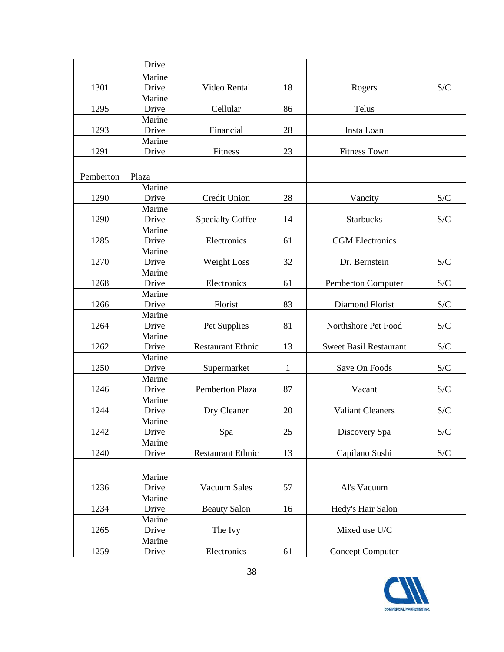|           | Drive           |                          |              |                               |     |
|-----------|-----------------|--------------------------|--------------|-------------------------------|-----|
|           | Marine          |                          |              |                               |     |
| 1301      | Drive           | Video Rental             | 18           | Rogers                        | S/C |
|           | Marine          |                          |              |                               |     |
| 1295      | Drive           | Cellular                 | 86           | Telus                         |     |
|           | Marine          |                          |              |                               |     |
| 1293      | Drive           | Financial                | 28           | Insta Loan                    |     |
|           | Marine          |                          |              |                               |     |
| 1291      | Drive           | Fitness                  | 23           | <b>Fitness Town</b>           |     |
|           |                 |                          |              |                               |     |
| Pemberton | Plaza           |                          |              |                               |     |
|           | Marine          |                          |              |                               |     |
| 1290      | Drive           | Credit Union             | 28           | Vancity                       | S/C |
|           | Marine          |                          |              |                               |     |
| 1290      | Drive           | <b>Specialty Coffee</b>  | 14           | <b>Starbucks</b>              | S/C |
|           | Marine          |                          |              |                               |     |
| 1285      | Drive           | Electronics              | 61           | <b>CGM</b> Electronics        |     |
|           | Marine          |                          |              |                               |     |
| 1270      | Drive           | Weight Loss              | 32           | Dr. Bernstein                 | S/C |
|           | Marine          |                          |              |                               |     |
| 1268      | Drive           | Electronics              | 61           | <b>Pemberton Computer</b>     | S/C |
|           | Marine          |                          |              |                               |     |
| 1266      | Drive           | Florist                  | 83           | Diamond Florist               | S/C |
|           | Marine          |                          |              |                               |     |
| 1264      | Drive           | Pet Supplies             | 81           | Northshore Pet Food           | S/C |
|           | Marine          |                          |              |                               |     |
| 1262      | Drive           | <b>Restaurant Ethnic</b> | 13           | <b>Sweet Basil Restaurant</b> | S/C |
|           | Marine          |                          |              |                               |     |
| 1250      | Drive           | Supermarket              | $\mathbf{1}$ | Save On Foods                 | S/C |
|           | Marine          |                          |              |                               |     |
| 1246      | Drive           | Pemberton Plaza          | 87           | Vacant                        | S/C |
|           | Marine          |                          |              |                               |     |
| 1244      | Drive           | Dry Cleaner              | 20           | <b>Valiant Cleaners</b>       | S/C |
|           | Marine          |                          |              |                               |     |
| 1242      | Drive<br>Marine | Spa                      | 25           | Discovery Spa                 | S/C |
| 1240      | Drive           | <b>Restaurant Ethnic</b> | 13           |                               |     |
|           |                 |                          |              | Capilano Sushi                | S/C |
|           |                 |                          |              |                               |     |
|           | Marine          |                          |              |                               |     |
| 1236      | Drive           | Vacuum Sales             | 57           | Al's Vacuum                   |     |
|           | Marine          |                          |              |                               |     |
| 1234      | Drive           | <b>Beauty Salon</b>      | 16           | Hedy's Hair Salon             |     |
|           | Marine          |                          |              |                               |     |
| 1265      | Drive           | The Ivy                  |              | Mixed use U/C                 |     |
|           | Marine          |                          |              |                               |     |
| 1259      | Drive           | Electronics              | 61           | <b>Concept Computer</b>       |     |

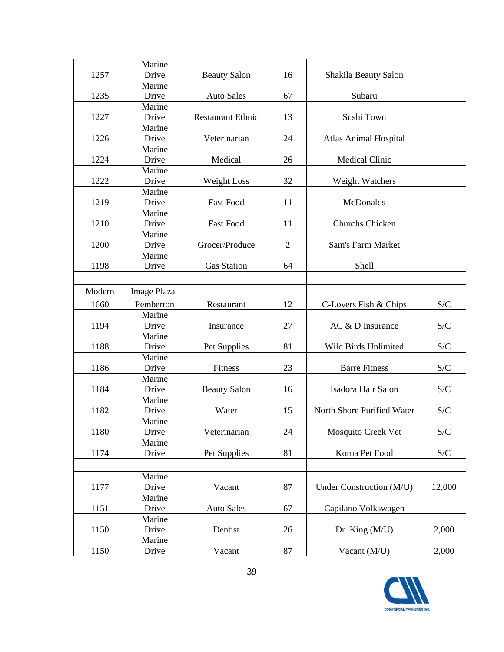| 1257   | Marine<br>Drive    | <b>Beauty Salon</b>      | 16             | Shakila Beauty Salon         |                           |
|--------|--------------------|--------------------------|----------------|------------------------------|---------------------------|
|        | Marine             |                          |                |                              |                           |
| 1235   | Drive              | <b>Auto Sales</b>        | 67             | Subaru                       |                           |
|        | Marine             |                          |                |                              |                           |
| 1227   | Drive              | <b>Restaurant Ethnic</b> | 13             | Sushi Town                   |                           |
|        | Marine             |                          |                |                              |                           |
| 1226   | Drive              | Veterinarian             | 24             | <b>Atlas Animal Hospital</b> |                           |
|        | Marine             |                          |                |                              |                           |
| 1224   | Drive              | Medical                  | 26             | <b>Medical Clinic</b>        |                           |
|        | Marine             |                          |                |                              |                           |
| 1222   | Drive              | Weight Loss              | 32             | Weight Watchers              |                           |
|        | Marine             |                          |                |                              |                           |
| 1219   | Drive              | <b>Fast Food</b>         | 11             | McDonalds                    |                           |
|        | Marine             |                          |                |                              |                           |
| 1210   | Drive              | <b>Fast Food</b>         | 11             | Churchs Chicken              |                           |
|        | Marine             |                          |                |                              |                           |
| 1200   | Drive              | Grocer/Produce           | $\overline{2}$ | Sam's Farm Market            |                           |
|        | Marine             |                          |                |                              |                           |
| 1198   | Drive              | <b>Gas Station</b>       | 64             | Shell                        |                           |
|        |                    |                          |                |                              |                           |
| Modern | <b>Image Plaza</b> |                          |                |                              |                           |
| 1660   | Pemberton          | Restaurant               | 12             | C-Lovers Fish & Chips        | S/C                       |
|        | Marine             |                          |                |                              |                           |
| 1194   | Drive              | Insurance                | 27             | AC & D Insurance             | S/C                       |
|        | Marine             |                          |                |                              |                           |
| 1188   | Drive              | Pet Supplies             | 81             | Wild Birds Unlimited         | S/C                       |
|        | Marine             |                          |                |                              |                           |
| 1186   | Drive              | Fitness                  | 23             | <b>Barre Fitness</b>         | S/C                       |
|        | Marine             |                          |                |                              |                           |
| 1184   | Drive              | <b>Beauty Salon</b>      | 16             | Isadora Hair Salon           | S/C                       |
|        | Marine             |                          |                |                              |                           |
| 1182   | Drive              | Water                    | 15             | North Shore Purified Water   | S/C                       |
|        | Marine             |                          |                |                              |                           |
| 1180   | Drive              | Veterinarian             | 24             | Mosquito Creek Vet           | S/C                       |
|        | Marine             |                          |                |                              |                           |
| 1174   | Drive              | Pet Supplies             | 81             | Korna Pet Food               | $\mathcal{S}/\mathcal{C}$ |
|        |                    |                          |                |                              |                           |
|        |                    |                          |                |                              |                           |
|        | Marine             |                          |                |                              |                           |
| 1177   | Drive              | Vacant                   | 87             | Under Construction (M/U)     | 12,000                    |
|        | Marine             |                          |                |                              |                           |
| 1151   | Drive              | <b>Auto Sales</b>        | 67             | Capilano Volkswagen          |                           |
|        | Marine             |                          |                |                              |                           |
| 1150   | Drive              | Dentist                  | 26             | Dr. King $(M/U)$             | 2,000                     |
| 1150   | Marine<br>Drive    | Vacant                   | 87             | Vacant (M/U)                 | 2,000                     |

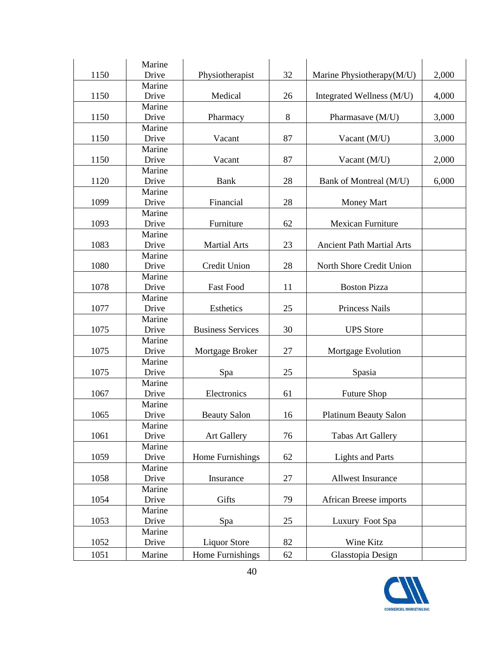| 1150 | Marine<br>Drive | Physiotherapist          | 32 | Marine Physiotherapy(M/U)        | 2,000 |
|------|-----------------|--------------------------|----|----------------------------------|-------|
|      | Marine          |                          |    |                                  |       |
| 1150 | Drive           | Medical                  | 26 | Integrated Wellness (M/U)        | 4,000 |
|      | Marine          |                          |    |                                  |       |
| 1150 | Drive           | Pharmacy                 | 8  | Pharmasave (M/U)                 | 3,000 |
|      | Marine          |                          |    |                                  |       |
| 1150 | Drive           | Vacant                   | 87 | Vacant (M/U)                     | 3,000 |
|      | Marine          |                          |    |                                  |       |
| 1150 | Drive           | Vacant                   | 87 | Vacant (M/U)                     | 2,000 |
|      | Marine          |                          |    |                                  |       |
| 1120 | Drive           | <b>Bank</b>              | 28 | Bank of Montreal (M/U)           | 6,000 |
|      | Marine          |                          |    |                                  |       |
| 1099 | Drive           | Financial                | 28 | <b>Money Mart</b>                |       |
|      | Marine          |                          |    |                                  |       |
| 1093 | Drive           | Furniture                | 62 | <b>Mexican Furniture</b>         |       |
|      | Marine          |                          |    |                                  |       |
| 1083 | Drive           | <b>Martial Arts</b>      | 23 | <b>Ancient Path Martial Arts</b> |       |
|      | Marine          |                          |    |                                  |       |
| 1080 | Drive           | Credit Union             | 28 | North Shore Credit Union         |       |
| 1078 | Marine<br>Drive | <b>Fast Food</b>         | 11 | <b>Boston Pizza</b>              |       |
|      |                 |                          |    |                                  |       |
| 1077 | Marine<br>Drive | Esthetics                | 25 | Princess Nails                   |       |
|      | Marine          |                          |    |                                  |       |
| 1075 | Drive           | <b>Business Services</b> | 30 | <b>UPS</b> Store                 |       |
|      | Marine          |                          |    |                                  |       |
| 1075 | Drive           | Mortgage Broker          | 27 | Mortgage Evolution               |       |
|      | Marine          |                          |    |                                  |       |
| 1075 | Drive           | Spa                      | 25 | Spasia                           |       |
|      | Marine          |                          |    |                                  |       |
| 1067 | Drive           | Electronics              | 61 | <b>Future Shop</b>               |       |
|      | Marine          |                          |    |                                  |       |
| 1065 | Drive           | <b>Beauty Salon</b>      | 16 | <b>Platinum Beauty Salon</b>     |       |
|      | Marine          |                          |    |                                  |       |
| 1061 | Drive           | <b>Art Gallery</b>       | 76 | <b>Tabas Art Gallery</b>         |       |
|      | Marine          |                          |    |                                  |       |
| 1059 | Drive           | Home Furnishings         | 62 | <b>Lights and Parts</b>          |       |
|      | Marine          |                          |    |                                  |       |
| 1058 | Drive           | Insurance                | 27 | Allwest Insurance                |       |
|      | Marine          |                          |    |                                  |       |
| 1054 | Drive           | Gifts                    | 79 | <b>African Breese imports</b>    |       |
|      | Marine          |                          |    |                                  |       |
| 1053 | Drive           | Spa                      | 25 | Luxury Foot Spa                  |       |
|      | Marine          |                          |    |                                  |       |
| 1052 | Drive           | <b>Liquor Store</b>      | 82 | Wine Kitz                        |       |
| 1051 | Marine          | Home Furnishings         | 62 | Glasstopia Design                |       |

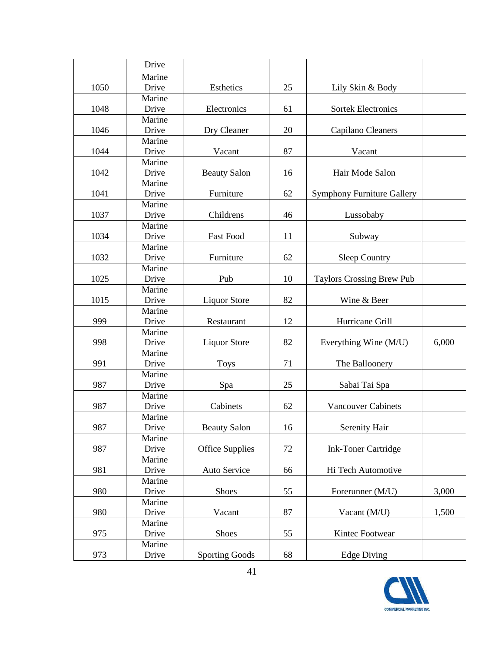|      | Drive           |                        |    |                                   |       |
|------|-----------------|------------------------|----|-----------------------------------|-------|
|      | Marine          |                        |    |                                   |       |
| 1050 | Drive           | Esthetics              | 25 | Lily Skin & Body                  |       |
|      | Marine          |                        |    |                                   |       |
| 1048 | Drive           | Electronics            | 61 | <b>Sortek Electronics</b>         |       |
|      | Marine          |                        |    |                                   |       |
| 1046 | Drive           | Dry Cleaner            | 20 | Capilano Cleaners                 |       |
|      | Marine          |                        |    |                                   |       |
| 1044 | Drive           | Vacant                 | 87 | Vacant                            |       |
|      | Marine          |                        |    |                                   |       |
| 1042 | Drive           | <b>Beauty Salon</b>    | 16 | Hair Mode Salon                   |       |
|      | Marine          |                        |    |                                   |       |
| 1041 | Drive           | Furniture              | 62 | <b>Symphony Furniture Gallery</b> |       |
|      | Marine          |                        |    |                                   |       |
| 1037 | Drive           | Childrens              | 46 | Lussobaby                         |       |
| 1034 | Marine<br>Drive | <b>Fast Food</b>       | 11 | Subway                            |       |
|      | Marine          |                        |    |                                   |       |
| 1032 | Drive           | Furniture              | 62 | Sleep Country                     |       |
|      | Marine          |                        |    |                                   |       |
| 1025 | Drive           | Pub                    | 10 | <b>Taylors Crossing Brew Pub</b>  |       |
|      | Marine          |                        |    |                                   |       |
| 1015 | Drive           | <b>Liquor Store</b>    | 82 | Wine & Beer                       |       |
|      | Marine          |                        |    |                                   |       |
| 999  | Drive           | Restaurant             | 12 | Hurricane Grill                   |       |
|      | Marine          |                        |    |                                   |       |
| 998  | Drive           | <b>Liquor Store</b>    | 82 | Everything Wine (M/U)             | 6,000 |
|      | Marine          |                        |    |                                   |       |
| 991  | Drive           | <b>Toys</b>            | 71 | The Balloonery                    |       |
|      | Marine          |                        |    |                                   |       |
| 987  | Drive           | Spa                    | 25 | Sabai Tai Spa                     |       |
|      | Marine          |                        |    |                                   |       |
| 987  | Drive           | Cabinets               | 62 | <b>Vancouver Cabinets</b>         |       |
|      | Marine          |                        |    |                                   |       |
| 987  | Drive           | <b>Beauty Salon</b>    | 16 | Serenity Hair                     |       |
|      | Marine          |                        |    |                                   |       |
| 987  | Drive           | <b>Office Supplies</b> | 72 | <b>Ink-Toner Cartridge</b>        |       |
|      | Marine          |                        |    |                                   |       |
| 981  | Drive           | Auto Service           | 66 | Hi Tech Automotive                |       |
|      | Marine          |                        |    |                                   |       |
| 980  | Drive<br>Marine | <b>Shoes</b>           | 55 | Forerunner (M/U)                  | 3,000 |
| 980  | Drive           | Vacant                 | 87 |                                   | 1,500 |
|      | Marine          |                        |    | Vacant (M/U)                      |       |
| 975  | Drive           | Shoes                  | 55 | Kintec Footwear                   |       |
|      | Marine          |                        |    |                                   |       |
|      |                 |                        |    |                                   |       |
| 973  | Drive           | <b>Sporting Goods</b>  | 68 | <b>Edge Diving</b>                |       |

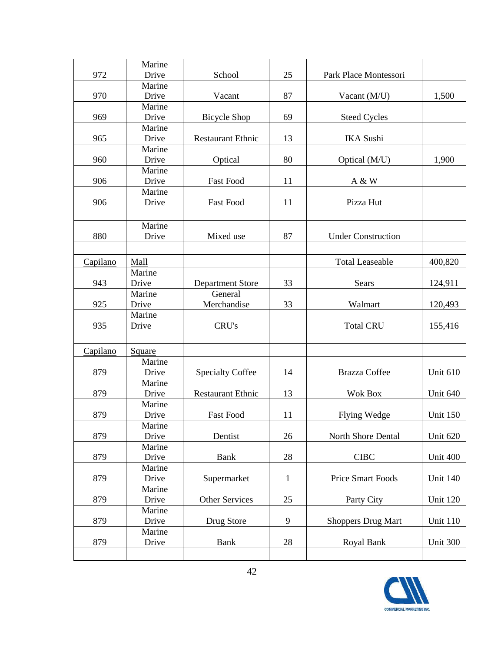|          | Marine |                          |              |                           |                 |
|----------|--------|--------------------------|--------------|---------------------------|-----------------|
| 972      | Drive  | School                   | 25           | Park Place Montessori     |                 |
|          | Marine |                          |              |                           |                 |
| 970      | Drive  | Vacant                   | 87           | Vacant (M/U)              | 1,500           |
|          | Marine |                          |              |                           |                 |
| 969      | Drive  | <b>Bicycle Shop</b>      | 69           | <b>Steed Cycles</b>       |                 |
|          | Marine |                          |              |                           |                 |
| 965      | Drive  | <b>Restaurant Ethnic</b> | 13           | <b>IKA</b> Sushi          |                 |
|          | Marine |                          |              |                           |                 |
| 960      | Drive  | Optical                  | 80           | Optical (M/U)             | 1,900           |
|          | Marine |                          |              |                           |                 |
| 906      | Drive  | <b>Fast Food</b>         | 11           | A & W                     |                 |
|          | Marine |                          |              |                           |                 |
| 906      | Drive  | <b>Fast Food</b>         | 11           | Pizza Hut                 |                 |
|          |        |                          |              |                           |                 |
|          | Marine |                          |              |                           |                 |
| 880      | Drive  | Mixed use                | 87           | <b>Under Construction</b> |                 |
|          |        |                          |              |                           |                 |
| Capilano | Mall   |                          |              | <b>Total Leaseable</b>    | 400,820         |
|          | Marine |                          |              |                           |                 |
| 943      | Drive  | <b>Department Store</b>  | 33           | Sears                     | 124,911         |
|          | Marine | General                  |              |                           |                 |
| 925      | Drive  | Merchandise              | 33           | Walmart                   | 120,493         |
|          | Marine |                          |              |                           |                 |
| 935      | Drive  | CRU's                    |              | <b>Total CRU</b>          | 155,416         |
|          |        |                          |              |                           |                 |
|          |        |                          |              |                           |                 |
| Capilano | Square |                          |              |                           |                 |
|          | Marine |                          |              |                           |                 |
| 879      | Drive  | <b>Specialty Coffee</b>  | 14           | Brazza Coffee             | Unit 610        |
|          | Marine |                          |              |                           |                 |
| 879      | Drive  | <b>Restaurant Ethnic</b> | 13           | <b>Wok Box</b>            | Unit 640        |
|          | Marine |                          |              |                           |                 |
| 879      | Drive  | <b>Fast Food</b>         | 11           | <b>Flying Wedge</b>       | <b>Unit 150</b> |
|          | Marine |                          |              |                           |                 |
| 879      | Drive  | Dentist                  | 26           | North Shore Dental        | Unit 620        |
|          | Marine |                          |              |                           |                 |
| 879      | Drive  | <b>Bank</b>              | 28           | <b>CIBC</b>               | Unit 400        |
|          | Marine |                          |              |                           |                 |
| 879      | Drive  | Supermarket              | $\mathbf{1}$ | Price Smart Foods         | Unit 140        |
|          | Marine |                          |              |                           |                 |
| 879      | Drive  | <b>Other Services</b>    | 25           | Party City                | <b>Unit 120</b> |
|          | Marine |                          |              |                           |                 |
| 879      | Drive  | Drug Store               | 9            | <b>Shoppers Drug Mart</b> | <b>Unit 110</b> |
|          | Marine |                          |              |                           |                 |
| 879      | Drive  | <b>Bank</b>              | 28           | Royal Bank                | Unit 300        |
|          |        |                          |              |                           |                 |